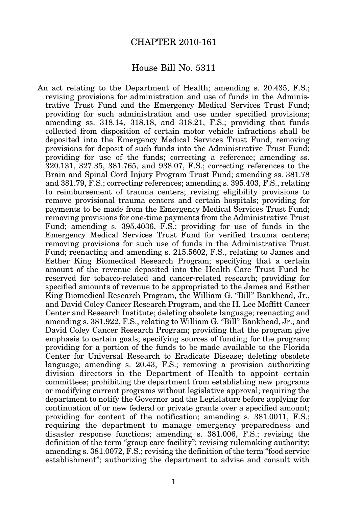## CHAPTER 2010-161

## House Bill No. 5311

An act relating to the Department of Health; amending s. 20.435, F.S.; revising provisions for administration and use of funds in the Administrative Trust Fund and the Emergency Medical Services Trust Fund; providing for such administration and use under specified provisions; amending ss. 318.14, 318.18, and 318.21, F.S.; providing that funds collected from disposition of certain motor vehicle infractions shall be deposited into the Emergency Medical Services Trust Fund; removing provisions for deposit of such funds into the Administrative Trust Fund; providing for use of the funds; correcting a reference; amending ss. 320.131, 327.35, 381.765, and 938.07, F.S.; correcting references to the Brain and Spinal Cord Injury Program Trust Fund; amending ss. 381.78 and 381.79, F.S.; correcting references; amending s. 395.403, F.S., relating to reimbursement of trauma centers; revising eligibility provisions to remove provisional trauma centers and certain hospitals; providing for payments to be made from the Emergency Medical Services Trust Fund; removing provisions for one-time payments from the Administrative Trust Fund; amending s. 395.4036, F.S.; providing for use of funds in the Emergency Medical Services Trust Fund for verified trauma centers; removing provisions for such use of funds in the Administrative Trust Fund; reenacting and amending s. 215.5602, F.S., relating to James and Esther King Biomedical Research Program; specifying that a certain amount of the revenue deposited into the Health Care Trust Fund be reserved for tobacco-related and cancer-related research; providing for specified amounts of revenue to be appropriated to the James and Esther King Biomedical Research Program, the William G. "Bill" Bankhead, Jr., and David Coley Cancer Research Program, and the H. Lee Moffitt Cancer Center and Research Institute; deleting obsolete language; reenacting and amending s. 381.922, F.S., relating to William G. "Bill" Bankhead, Jr., and David Coley Cancer Research Program; providing that the program give emphasis to certain goals; specifying sources of funding for the program; providing for a portion of the funds to be made available to the Florida Center for Universal Research to Eradicate Disease; deleting obsolete language; amending s. 20.43, F.S.; removing a provision authorizing division directors in the Department of Health to appoint certain committees; prohibiting the department from establishing new programs or modifying current programs without legislative approval; requiring the department to notify the Governor and the Legislature before applying for continuation of or new federal or private grants over a specified amount; providing for content of the notification; amending s. 381.0011, F.S.; requiring the department to manage emergency preparedness and disaster response functions; amending s. 381.006, F.S.; revising the definition of the term "group care facility"; revising rulemaking authority; amending s. 381.0072, F.S.; revising the definition of the term "food service establishment"; authorizing the department to advise and consult with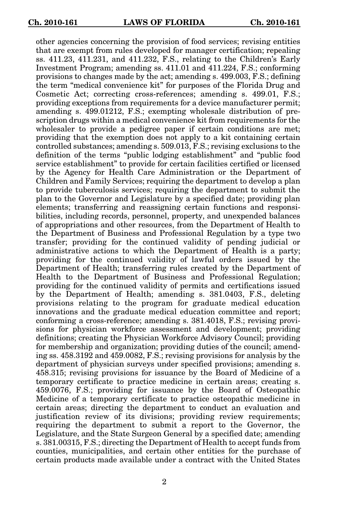other agencies concerning the provision of food services; revising entities that are exempt from rules developed for manager certification; repealing ss. 411.23, 411.231, and 411.232, F.S., relating to the Children's Early Investment Program; amending ss. 411.01 and 411.224, F.S.; conforming provisions to changes made by the act; amending s. 499.003, F.S.; defining the term "medical convenience kit" for purposes of the Florida Drug and Cosmetic Act; correcting cross-references; amending s. 499.01, F.S.; providing exceptions from requirements for a device manufacturer permit; amending s. 499.01212, F.S.; exempting wholesale distribution of prescription drugs within a medical convenience kit from requirements for the wholesaler to provide a pedigree paper if certain conditions are met; providing that the exemption does not apply to a kit containing certain controlled substances; amending s. 509.013, F.S.; revising exclusions to the definition of the terms "public lodging establishment" and "public food service establishment" to provide for certain facilities certified or licensed by the Agency for Health Care Administration or the Department of Children and Family Services; requiring the department to develop a plan to provide tuberculosis services; requiring the department to submit the plan to the Governor and Legislature by a specified date; providing plan elements; transferring and reassigning certain functions and responsibilities, including records, personnel, property, and unexpended balances of appropriations and other resources, from the Department of Health to the Department of Business and Professional Regulation by a type two transfer; providing for the continued validity of pending judicial or administrative actions to which the Department of Health is a party; providing for the continued validity of lawful orders issued by the Department of Health; transferring rules created by the Department of Health to the Department of Business and Professional Regulation; providing for the continued validity of permits and certifications issued by the Department of Health; amending s. 381.0403, F.S., deleting provisions relating to the program for graduate medical education innovations and the graduate medical education committee and report; conforming a cross-reference; amending s. 381.4018, F.S.; revising provisions for physician workforce assessment and development; providing definitions; creating the Physician Workforce Advisory Council; providing for membership and organization; providing duties of the council; amending ss. 458.3192 and 459.0082, F.S.; revising provisions for analysis by the department of physician surveys under specified provisions; amending s. 458.315; revising provisions for issuance by the Board of Medicine of a temporary certificate to practice medicine in certain areas; creating s. 459.0076, F.S.; providing for issuance by the Board of Osteopathic Medicine of a temporary certificate to practice osteopathic medicine in certain areas; directing the department to conduct an evaluation and justification review of its divisions; providing review requirements; requiring the department to submit a report to the Governor, the Legislature, and the State Surgeon General by a specified date; amending s. 381.00315, F.S.; directing the Department of Health to accept funds from counties, municipalities, and certain other entities for the purchase of certain products made available under a contract with the United States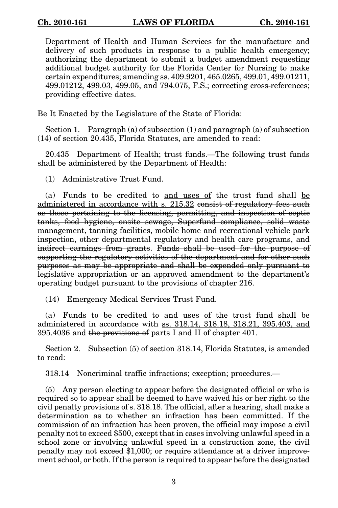Department of Health and Human Services for the manufacture and delivery of such products in response to a public health emergency; authorizing the department to submit a budget amendment requesting additional budget authority for the Florida Center for Nursing to make certain expenditures; amending ss. 409.9201, 465.0265, 499.01, 499.01211, 499.01212, 499.03, 499.05, and 794.075, F.S.; correcting cross-references; providing effective dates.

Be It Enacted by the Legislature of the State of Florida:

Section 1. Paragraph (a) of subsection (1) and paragraph (a) of subsection (14) of section 20.435, Florida Statutes, are amended to read:

20.435 Department of Health; trust funds.—The following trust funds shall be administered by the Department of Health:

(1) Administrative Trust Fund.

(a) Funds to be credited to and uses of the trust fund shall be administered in accordance with s. 215.32 consist of regulatory fees such as those pertaining to the licensing, permitting, and inspection of septic tanks, food hygiene, onsite sewage, Superfund compliance, solid waste management, tanning facilities, mobile home and recreational vehicle park inspection, other departmental regulatory and health care programs, and indirect earnings from grants. Funds shall be used for the purpose of supporting the regulatory activities of the department and for other such purposes as may be appropriate and shall be expended only pursuant to legislative appropriation or an approved amendment to the department's operating budget pursuant to the provisions of chapter 216.

(14) Emergency Medical Services Trust Fund.

(a) Funds to be credited to and uses of the trust fund shall be administered in accordance with ss. 318.14, 318.18, 318.21, 395.403, and 395.4036 and the provisions of parts I and II of chapter 401.

Section 2. Subsection (5) of section 318.14, Florida Statutes, is amended to read:

318.14 Noncriminal traffic infractions; exception; procedures.—

(5) Any person electing to appear before the designated official or who is required so to appear shall be deemed to have waived his or her right to the civil penalty provisions of s. 318.18. The official, after a hearing, shall make a determination as to whether an infraction has been committed. If the commission of an infraction has been proven, the official may impose a civil penalty not to exceed \$500, except that in cases involving unlawful speed in a school zone or involving unlawful speed in a construction zone, the civil penalty may not exceed \$1,000; or require attendance at a driver improvement school, or both. If the person is required to appear before the designated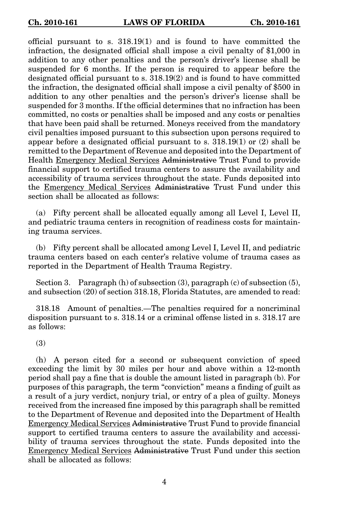official pursuant to s. 318.19(1) and is found to have committed the infraction, the designated official shall impose a civil penalty of \$1,000 in addition to any other penalties and the person's driver's license shall be suspended for 6 months. If the person is required to appear before the designated official pursuant to s. 318.19(2) and is found to have committed the infraction, the designated official shall impose a civil penalty of \$500 in addition to any other penalties and the person's driver's license shall be suspended for 3 months. If the official determines that no infraction has been committed, no costs or penalties shall be imposed and any costs or penalties that have been paid shall be returned. Moneys received from the mandatory civil penalties imposed pursuant to this subsection upon persons required to appear before a designated official pursuant to s. 318.19(1) or (2) shall be remitted to the Department of Revenue and deposited into the Department of Health Emergency Medical Services Administrative Trust Fund to provide financial support to certified trauma centers to assure the availability and accessibility of trauma services throughout the state. Funds deposited into the Emergency Medical Services Administrative Trust Fund under this section shall be allocated as follows:

(a) Fifty percent shall be allocated equally among all Level I, Level II, and pediatric trauma centers in recognition of readiness costs for maintaining trauma services.

(b) Fifty percent shall be allocated among Level I, Level II, and pediatric trauma centers based on each center's relative volume of trauma cases as reported in the Department of Health Trauma Registry.

Section 3. Paragraph (h) of subsection (3), paragraph (c) of subsection (5), and subsection (20) of section 318.18, Florida Statutes, are amended to read:

318.18 Amount of penalties.—The penalties required for a noncriminal disposition pursuant to s. 318.14 or a criminal offense listed in s. 318.17 are as follows:

(3)

(h) A person cited for a second or subsequent conviction of speed exceeding the limit by 30 miles per hour and above within a 12-month period shall pay a fine that is double the amount listed in paragraph (b). For purposes of this paragraph, the term "conviction" means a finding of guilt as a result of a jury verdict, nonjury trial, or entry of a plea of guilty. Moneys received from the increased fine imposed by this paragraph shall be remitted to the Department of Revenue and deposited into the Department of Health Emergency Medical Services Administrative Trust Fund to provide financial support to certified trauma centers to assure the availability and accessibility of trauma services throughout the state. Funds deposited into the Emergency Medical Services Administrative Trust Fund under this section shall be allocated as follows: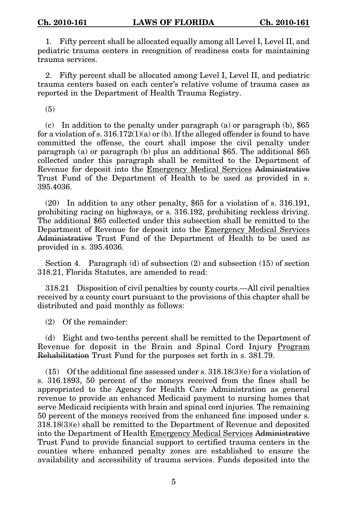1. Fifty percent shall be allocated equally among all Level I, Level II, and pediatric trauma centers in recognition of readiness costs for maintaining trauma services.

2. Fifty percent shall be allocated among Level I, Level II, and pediatric trauma centers based on each center's relative volume of trauma cases as reported in the Department of Health Trauma Registry.

(5)

(c) In addition to the penalty under paragraph (a) or paragraph (b),  $$65$ for a violation of s.  $316.172(1)(a)$  or (b). If the alleged offender is found to have committed the offense, the court shall impose the civil penalty under paragraph (a) or paragraph (b) plus an additional \$65. The additional \$65 collected under this paragraph shall be remitted to the Department of Revenue for deposit into the Emergency Medical Services Administrative Trust Fund of the Department of Health to be used as provided in s. 395.4036.

(20) In addition to any other penalty, \$65 for a violation of s. 316.191, prohibiting racing on highways, or s. 316.192, prohibiting reckless driving. The additional \$65 collected under this subsection shall be remitted to the Department of Revenue for deposit into the Emergency Medical Services Administrative Trust Fund of the Department of Health to be used as provided in s. 395.4036.

Section 4. Paragraph (d) of subsection (2) and subsection (15) of section 318.21, Florida Statutes, are amended to read:

318.21 Disposition of civil penalties by county courts.—All civil penalties received by a county court pursuant to the provisions of this chapter shall be distributed and paid monthly as follows:

(2) Of the remainder:

(d) Eight and two-tenths percent shall be remitted to the Department of Revenue for deposit in the Brain and Spinal Cord Injury Program Rehabilitation Trust Fund for the purposes set forth in s. 381.79.

 $(15)$  Of the additional fine assessed under s.  $318.18(3)(e)$  for a violation of s. 316.1893, 50 percent of the moneys received from the fines shall be appropriated to the Agency for Health Care Administration as general revenue to provide an enhanced Medicaid payment to nursing homes that serve Medicaid recipients with brain and spinal cord injuries. The remaining 50 percent of the moneys received from the enhanced fine imposed under s. 318.18(3)(e) shall be remitted to the Department of Revenue and deposited into the Department of Health Emergency Medical Services Administrative Trust Fund to provide financial support to certified trauma centers in the counties where enhanced penalty zones are established to ensure the availability and accessibility of trauma services. Funds deposited into the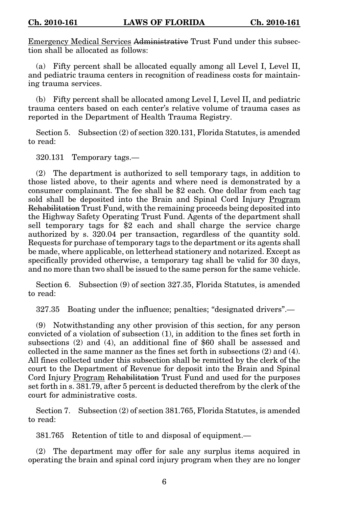Emergency Medical Services Administrative Trust Fund under this subsection shall be allocated as follows:

(a) Fifty percent shall be allocated equally among all Level I, Level II, and pediatric trauma centers in recognition of readiness costs for maintaining trauma services.

(b) Fifty percent shall be allocated among Level I, Level II, and pediatric trauma centers based on each center's relative volume of trauma cases as reported in the Department of Health Trauma Registry.

Section 5. Subsection (2) of section 320.131, Florida Statutes, is amended to read:

320.131 Temporary tags.—

(2) The department is authorized to sell temporary tags, in addition to those listed above, to their agents and where need is demonstrated by a consumer complainant. The fee shall be \$2 each. One dollar from each tag sold shall be deposited into the Brain and Spinal Cord Injury Program Rehabilitation Trust Fund, with the remaining proceeds being deposited into the Highway Safety Operating Trust Fund. Agents of the department shall sell temporary tags for \$2 each and shall charge the service charge authorized by s. 320.04 per transaction, regardless of the quantity sold. Requests for purchase of temporary tags to the department or its agents shall be made, where applicable, on letterhead stationery and notarized. Except as specifically provided otherwise, a temporary tag shall be valid for 30 days, and no more than two shall be issued to the same person for the same vehicle.

Section 6. Subsection (9) of section 327.35, Florida Statutes, is amended to read:

327.35 Boating under the influence; penalties; "designated drivers".—

(9) Notwithstanding any other provision of this section, for any person convicted of a violation of subsection (1), in addition to the fines set forth in subsections (2) and (4), an additional fine of \$60 shall be assessed and collected in the same manner as the fines set forth in subsections  $(2)$  and  $(4)$ . All fines collected under this subsection shall be remitted by the clerk of the court to the Department of Revenue for deposit into the Brain and Spinal Cord Injury Program Rehabilitation Trust Fund and used for the purposes set forth in s. 381.79, after 5 percent is deducted therefrom by the clerk of the court for administrative costs.

Section 7. Subsection (2) of section 381.765, Florida Statutes, is amended to read:

381.765 Retention of title to and disposal of equipment.—

(2) The department may offer for sale any surplus items acquired in operating the brain and spinal cord injury program when they are no longer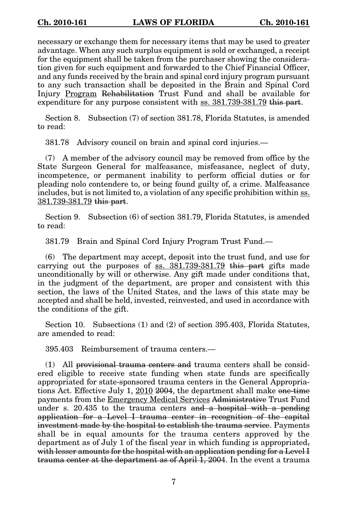necessary or exchange them for necessary items that may be used to greater advantage. When any such surplus equipment is sold or exchanged, a receipt for the equipment shall be taken from the purchaser showing the consideration given for such equipment and forwarded to the Chief Financial Officer, and any funds received by the brain and spinal cord injury program pursuant to any such transaction shall be deposited in the Brain and Spinal Cord Injury Program Rehabilitation Trust Fund and shall be available for expenditure for any purpose consistent with ss.  $381.739-381.79$  this part.

Section 8. Subsection (7) of section 381.78, Florida Statutes, is amended to read:

381.78 Advisory council on brain and spinal cord injuries.—

(7) A member of the advisory council may be removed from office by the State Surgeon General for malfeasance, misfeasance, neglect of duty, incompetence, or permanent inability to perform official duties or for pleading nolo contendere to, or being found guilty of, a crime. Malfeasance includes, but is not limited to, a violation of any specific prohibition within ss. 381.739-381.79 this part.

Section 9. Subsection (6) of section 381.79, Florida Statutes, is amended to read:

381.79 Brain and Spinal Cord Injury Program Trust Fund.—

(6) The department may accept, deposit into the trust fund, and use for carrying out the purposes of  $ss. 381.739-381.79$  this part gifts made unconditionally by will or otherwise. Any gift made under conditions that, in the judgment of the department, are proper and consistent with this section, the laws of the United States, and the laws of this state may be accepted and shall be held, invested, reinvested, and used in accordance with the conditions of the gift.

Section 10. Subsections (1) and (2) of section 395.403, Florida Statutes, are amended to read:

395.403 Reimbursement of trauma centers.—

(1) All provisional trauma centers and trauma centers shall be considered eligible to receive state funding when state funds are specifically appropriated for state-sponsored trauma centers in the General Appropriations Act. Effective July 1, 2010 2004, the department shall make one-time payments from the Emergency Medical Services Administrative Trust Fund under s. 20.435 to the trauma centers and a hospital with a pending application for a Level I trauma center in recognition of the capital investment made by the hospital to establish the trauma service. Payments shall be in equal amounts for the trauma centers approved by the department as of July 1 of the fiscal year in which funding is appropriated, with lesser amounts for the hospital with an application pending for a Level I trauma center at the department as of April 1, 2004. In the event a trauma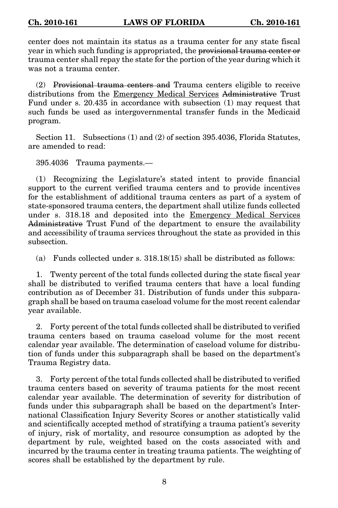center does not maintain its status as a trauma center for any state fiscal year in which such funding is appropriated, the provisional trauma center or trauma center shall repay the state for the portion of the year during which it was not a trauma center.

(2) Provisional trauma centers and Trauma centers eligible to receive distributions from the Emergency Medical Services Administrative Trust Fund under s. 20.435 in accordance with subsection (1) may request that such funds be used as intergovernmental transfer funds in the Medicaid program.

Section 11. Subsections (1) and (2) of section 395.4036, Florida Statutes, are amended to read:

395.4036 Trauma payments.—

(1) Recognizing the Legislature's stated intent to provide financial support to the current verified trauma centers and to provide incentives for the establishment of additional trauma centers as part of a system of state-sponsored trauma centers, the department shall utilize funds collected under s. 318.18 and deposited into the Emergency Medical Services Administrative Trust Fund of the department to ensure the availability and accessibility of trauma services throughout the state as provided in this subsection.

(a) Funds collected under s. 318.18(15) shall be distributed as follows:

1. Twenty percent of the total funds collected during the state fiscal year shall be distributed to verified trauma centers that have a local funding contribution as of December 31. Distribution of funds under this subparagraph shall be based on trauma caseload volume for the most recent calendar year available.

2. Forty percent of the total funds collected shall be distributed to verified trauma centers based on trauma caseload volume for the most recent calendar year available. The determination of caseload volume for distribution of funds under this subparagraph shall be based on the department's Trauma Registry data.

3. Forty percent of the total funds collected shall be distributed to verified trauma centers based on severity of trauma patients for the most recent calendar year available. The determination of severity for distribution of funds under this subparagraph shall be based on the department's International Classification Injury Severity Scores or another statistically valid and scientifically accepted method of stratifying a trauma patient's severity of injury, risk of mortality, and resource consumption as adopted by the department by rule, weighted based on the costs associated with and incurred by the trauma center in treating trauma patients. The weighting of scores shall be established by the department by rule.

8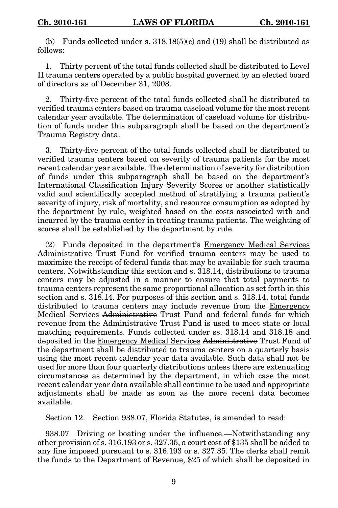(b) Funds collected under s.  $318.18(5)(c)$  and (19) shall be distributed as follows:

1. Thirty percent of the total funds collected shall be distributed to Level II trauma centers operated by a public hospital governed by an elected board of directors as of December 31, 2008.

2. Thirty-five percent of the total funds collected shall be distributed to verified trauma centers based on trauma caseload volume for the most recent calendar year available. The determination of caseload volume for distribution of funds under this subparagraph shall be based on the department's Trauma Registry data.

3. Thirty-five percent of the total funds collected shall be distributed to verified trauma centers based on severity of trauma patients for the most recent calendar year available. The determination of severity for distribution of funds under this subparagraph shall be based on the department's International Classification Injury Severity Scores or another statistically valid and scientifically accepted method of stratifying a trauma patient's severity of injury, risk of mortality, and resource consumption as adopted by the department by rule, weighted based on the costs associated with and incurred by the trauma center in treating trauma patients. The weighting of scores shall be established by the department by rule.

(2) Funds deposited in the department's Emergency Medical Services Administrative Trust Fund for verified trauma centers may be used to maximize the receipt of federal funds that may be available for such trauma centers. Notwithstanding this section and s. 318.14, distributions to trauma centers may be adjusted in a manner to ensure that total payments to trauma centers represent the same proportional allocation as set forth in this section and s. 318.14. For purposes of this section and s. 318.14, total funds distributed to trauma centers may include revenue from the Emergency Medical Services Administrative Trust Fund and federal funds for which revenue from the Administrative Trust Fund is used to meet state or local matching requirements. Funds collected under ss. 318.14 and 318.18 and deposited in the Emergency Medical Services Administrative Trust Fund of the department shall be distributed to trauma centers on a quarterly basis using the most recent calendar year data available. Such data shall not be used for more than four quarterly distributions unless there are extenuating circumstances as determined by the department, in which case the most recent calendar year data available shall continue to be used and appropriate adjustments shall be made as soon as the more recent data becomes available.

Section 12. Section 938.07, Florida Statutes, is amended to read:

938.07 Driving or boating under the influence.—Notwithstanding any other provision of s. 316.193 or s. 327.35, a court cost of \$135 shall be added to any fine imposed pursuant to s. 316.193 or s. 327.35. The clerks shall remit the funds to the Department of Revenue, \$25 of which shall be deposited in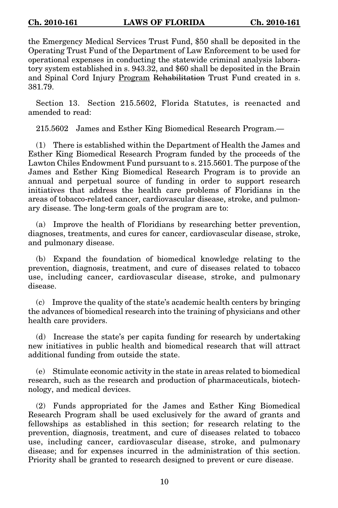the Emergency Medical Services Trust Fund, \$50 shall be deposited in the Operating Trust Fund of the Department of Law Enforcement to be used for operational expenses in conducting the statewide criminal analysis laboratory system established in s. 943.32, and \$60 shall be deposited in the Brain and Spinal Cord Injury Program Rehabilitation Trust Fund created in s. 381.79.

Section 13. Section 215.5602, Florida Statutes, is reenacted and amended to read:

215.5602 James and Esther King Biomedical Research Program.—

(1) There is established within the Department of Health the James and Esther King Biomedical Research Program funded by the proceeds of the Lawton Chiles Endowment Fund pursuant to s. 215.5601. The purpose of the James and Esther King Biomedical Research Program is to provide an annual and perpetual source of funding in order to support research initiatives that address the health care problems of Floridians in the areas of tobacco-related cancer, cardiovascular disease, stroke, and pulmonary disease. The long-term goals of the program are to:

(a) Improve the health of Floridians by researching better prevention, diagnoses, treatments, and cures for cancer, cardiovascular disease, stroke, and pulmonary disease.

(b) Expand the foundation of biomedical knowledge relating to the prevention, diagnosis, treatment, and cure of diseases related to tobacco use, including cancer, cardiovascular disease, stroke, and pulmonary disease.

(c) Improve the quality of the state's academic health centers by bringing the advances of biomedical research into the training of physicians and other health care providers.

(d) Increase the state's per capita funding for research by undertaking new initiatives in public health and biomedical research that will attract additional funding from outside the state.

(e) Stimulate economic activity in the state in areas related to biomedical research, such as the research and production of pharmaceuticals, biotechnology, and medical devices.

(2) Funds appropriated for the James and Esther King Biomedical Research Program shall be used exclusively for the award of grants and fellowships as established in this section; for research relating to the prevention, diagnosis, treatment, and cure of diseases related to tobacco use, including cancer, cardiovascular disease, stroke, and pulmonary disease; and for expenses incurred in the administration of this section. Priority shall be granted to research designed to prevent or cure disease.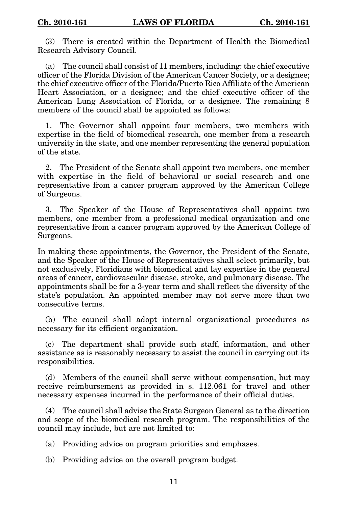(3) There is created within the Department of Health the Biomedical Research Advisory Council.

(a) The council shall consist of 11 members, including: the chief executive officer of the Florida Division of the American Cancer Society, or a designee; the chief executive officer of the Florida/Puerto Rico Affiliate of the American Heart Association, or a designee; and the chief executive officer of the American Lung Association of Florida, or a designee. The remaining 8 members of the council shall be appointed as follows:

1. The Governor shall appoint four members, two members with expertise in the field of biomedical research, one member from a research university in the state, and one member representing the general population of the state.

2. The President of the Senate shall appoint two members, one member with expertise in the field of behavioral or social research and one representative from a cancer program approved by the American College of Surgeons.

3. The Speaker of the House of Representatives shall appoint two members, one member from a professional medical organization and one representative from a cancer program approved by the American College of Surgeons.

In making these appointments, the Governor, the President of the Senate, and the Speaker of the House of Representatives shall select primarily, but not exclusively, Floridians with biomedical and lay expertise in the general areas of cancer, cardiovascular disease, stroke, and pulmonary disease. The appointments shall be for a 3-year term and shall reflect the diversity of the state's population. An appointed member may not serve more than two consecutive terms.

(b) The council shall adopt internal organizational procedures as necessary for its efficient organization.

(c) The department shall provide such staff, information, and other assistance as is reasonably necessary to assist the council in carrying out its responsibilities.

(d) Members of the council shall serve without compensation, but may receive reimbursement as provided in s. 112.061 for travel and other necessary expenses incurred in the performance of their official duties.

(4) The council shall advise the State Surgeon General as to the direction and scope of the biomedical research program. The responsibilities of the council may include, but are not limited to:

(a) Providing advice on program priorities and emphases.

(b) Providing advice on the overall program budget.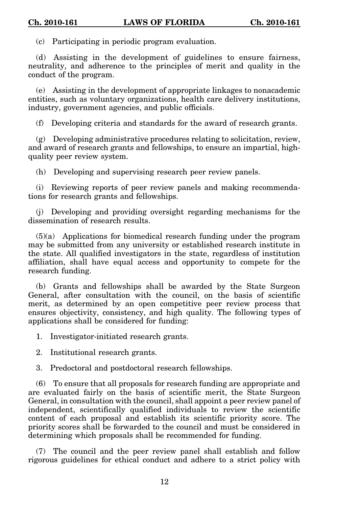(c) Participating in periodic program evaluation.

(d) Assisting in the development of guidelines to ensure fairness, neutrality, and adherence to the principles of merit and quality in the conduct of the program.

(e) Assisting in the development of appropriate linkages to nonacademic entities, such as voluntary organizations, health care delivery institutions, industry, government agencies, and public officials.

(f) Developing criteria and standards for the award of research grants.

(g) Developing administrative procedures relating to solicitation, review, and award of research grants and fellowships, to ensure an impartial, highquality peer review system.

(h) Developing and supervising research peer review panels.

(i) Reviewing reports of peer review panels and making recommendations for research grants and fellowships.

(j) Developing and providing oversight regarding mechanisms for the dissemination of research results.

(5)(a) Applications for biomedical research funding under the program may be submitted from any university or established research institute in the state. All qualified investigators in the state, regardless of institution affiliation, shall have equal access and opportunity to compete for the research funding.

(b) Grants and fellowships shall be awarded by the State Surgeon General, after consultation with the council, on the basis of scientific merit, as determined by an open competitive peer review process that ensures objectivity, consistency, and high quality. The following types of applications shall be considered for funding:

1. Investigator-initiated research grants.

2. Institutional research grants.

3. Predoctoral and postdoctoral research fellowships.

(6) To ensure that all proposals for research funding are appropriate and are evaluated fairly on the basis of scientific merit, the State Surgeon General, in consultation with the council, shall appoint a peer review panel of independent, scientifically qualified individuals to review the scientific content of each proposal and establish its scientific priority score. The priority scores shall be forwarded to the council and must be considered in determining which proposals shall be recommended for funding.

(7) The council and the peer review panel shall establish and follow rigorous guidelines for ethical conduct and adhere to a strict policy with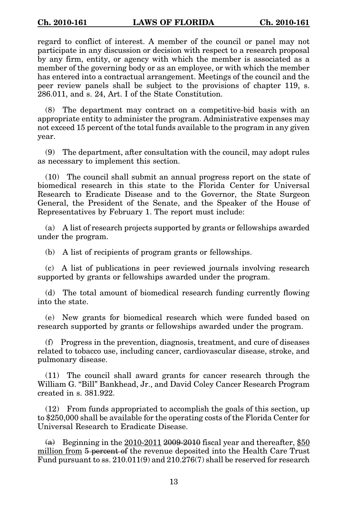regard to conflict of interest. A member of the council or panel may not participate in any discussion or decision with respect to a research proposal by any firm, entity, or agency with which the member is associated as a member of the governing body or as an employee, or with which the member has entered into a contractual arrangement. Meetings of the council and the peer review panels shall be subject to the provisions of chapter 119, s. 286.011, and s. 24, Art. I of the State Constitution.

(8) The department may contract on a competitive-bid basis with an appropriate entity to administer the program. Administrative expenses may not exceed 15 percent of the total funds available to the program in any given year.

(9) The department, after consultation with the council, may adopt rules as necessary to implement this section.

(10) The council shall submit an annual progress report on the state of biomedical research in this state to the Florida Center for Universal Research to Eradicate Disease and to the Governor, the State Surgeon General, the President of the Senate, and the Speaker of the House of Representatives by February 1. The report must include:

(a) A list of research projects supported by grants or fellowships awarded under the program.

(b) A list of recipients of program grants or fellowships.

(c) A list of publications in peer reviewed journals involving research supported by grants or fellowships awarded under the program.

(d) The total amount of biomedical research funding currently flowing into the state.

(e) New grants for biomedical research which were funded based on research supported by grants or fellowships awarded under the program.

(f) Progress in the prevention, diagnosis, treatment, and cure of diseases related to tobacco use, including cancer, cardiovascular disease, stroke, and pulmonary disease.

(11) The council shall award grants for cancer research through the William G. "Bill" Bankhead, Jr., and David Coley Cancer Research Program created in s. 381.922.

(12) From funds appropriated to accomplish the goals of this section, up to \$250,000 shall be available for the operating costs of the Florida Center for Universal Research to Eradicate Disease.

 $(a)$  Beginning in the 2010-2011 2009-2010 fiscal year and thereafter, \$50 million from 5 percent of the revenue deposited into the Health Care Trust Fund pursuant to ss. 210.011(9) and 210.276(7) shall be reserved for research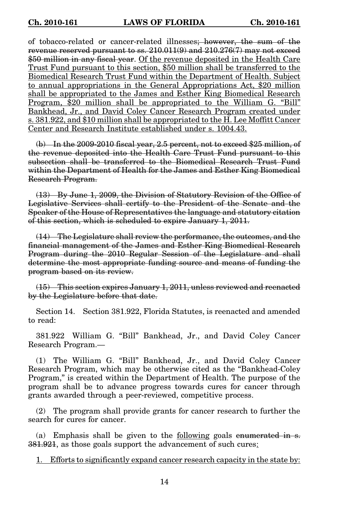of tobacco-related or cancer-related illnesses; however, the sum of the revenue reserved pursuant to ss. 210.011(9) and 210.276(7) may not exceed \$50 million in any fiscal year. Of the revenue deposited in the Health Care Trust Fund pursuant to this section, \$50 million shall be transferred to the Biomedical Research Trust Fund within the Department of Health. Subject to annual appropriations in the General Appropriations Act, \$20 million shall be appropriated to the James and Esther King Biomedical Research Program, \$20 million shall be appropriated to the William G. "Bill" Bankhead, Jr., and David Coley Cancer Research Program created under s. 381.922, and \$10 million shall be appropriated to the H. Lee Moffitt Cancer Center and Research Institute established under s. 1004.43.

(b) In the 2009-2010 fiscal year, 2.5 percent, not to exceed \$25 million, of the revenue deposited into the Health Care Trust Fund pursuant to this subsection shall be transferred to the Biomedical Research Trust Fund within the Department of Health for the James and Esther King Biomedical Research Program.

(13) By June 1, 2009, the Division of Statutory Revision of the Office of Legislative Services shall certify to the President of the Senate and the Speaker of the House of Representatives the language and statutory citation of this section, which is scheduled to expire January 1, 2011.

(14) The Legislature shall review the performance, the outcomes, and the financial management of the James and Esther King Biomedical Research Program during the 2010 Regular Session of the Legislature and shall determine the most appropriate funding source and means of funding the program based on its review.

(15) This section expires January 1, 2011, unless reviewed and reenacted by the Legislature before that date.

Section 14. Section 381.922, Florida Statutes, is reenacted and amended to read:

381.922 William G. "Bill" Bankhead, Jr., and David Coley Cancer Research Program.—

(1) The William G. "Bill" Bankhead, Jr., and David Coley Cancer Research Program, which may be otherwise cited as the "Bankhead-Coley Program," is created within the Department of Health. The purpose of the program shall be to advance progress towards cures for cancer through grants awarded through a peer-reviewed, competitive process.

(2) The program shall provide grants for cancer research to further the search for cures for cancer.

(a) Emphasis shall be given to the following goals enumerated in s. 381.921, as those goals support the advancement of such cures:

1. Efforts to significantly expand cancer research capacity in the state by: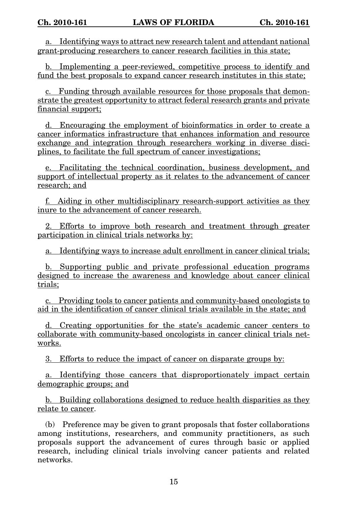a. Identifying ways to attract new research talent and attendant national grant-producing researchers to cancer research facilities in this state;

b. Implementing a peer-reviewed, competitive process to identify and fund the best proposals to expand cancer research institutes in this state;

c. Funding through available resources for those proposals that demonstrate the greatest opportunity to attract federal research grants and private financial support;

d. Encouraging the employment of bioinformatics in order to create a cancer informatics infrastructure that enhances information and resource exchange and integration through researchers working in diverse disciplines, to facilitate the full spectrum of cancer investigations;

e. Facilitating the technical coordination, business development, and support of intellectual property as it relates to the advancement of cancer research; and

f. Aiding in other multidisciplinary research-support activities as they inure to the advancement of cancer research.

2. Efforts to improve both research and treatment through greater participation in clinical trials networks by:

a. Identifying ways to increase adult enrollment in cancer clinical trials;

b. Supporting public and private professional education programs designed to increase the awareness and knowledge about cancer clinical trials;

c. Providing tools to cancer patients and community-based oncologists to aid in the identification of cancer clinical trials available in the state; and

d. Creating opportunities for the state's academic cancer centers to collaborate with community-based oncologists in cancer clinical trials networks.

3. Efforts to reduce the impact of cancer on disparate groups by:

a. Identifying those cancers that disproportionately impact certain demographic groups; and

b. Building collaborations designed to reduce health disparities as they relate to cancer.

(b) Preference may be given to grant proposals that foster collaborations among institutions, researchers, and community practitioners, as such proposals support the advancement of cures through basic or applied research, including clinical trials involving cancer patients and related networks.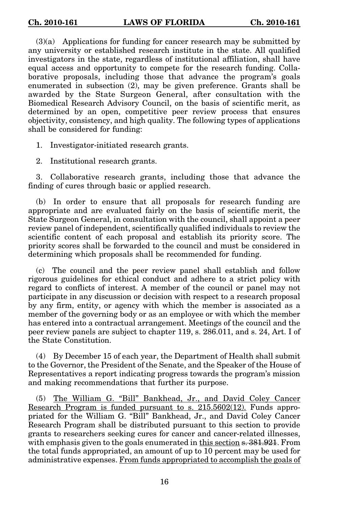(3)(a) Applications for funding for cancer research may be submitted by any university or established research institute in the state. All qualified investigators in the state, regardless of institutional affiliation, shall have equal access and opportunity to compete for the research funding. Collaborative proposals, including those that advance the program's goals enumerated in subsection (2), may be given preference. Grants shall be awarded by the State Surgeon General, after consultation with the Biomedical Research Advisory Council, on the basis of scientific merit, as determined by an open, competitive peer review process that ensures objectivity, consistency, and high quality. The following types of applications shall be considered for funding:

1. Investigator-initiated research grants.

2. Institutional research grants.

3. Collaborative research grants, including those that advance the finding of cures through basic or applied research.

(b) In order to ensure that all proposals for research funding are appropriate and are evaluated fairly on the basis of scientific merit, the State Surgeon General, in consultation with the council, shall appoint a peer review panel of independent, scientifically qualified individuals to review the scientific content of each proposal and establish its priority score. The priority scores shall be forwarded to the council and must be considered in determining which proposals shall be recommended for funding.

(c) The council and the peer review panel shall establish and follow rigorous guidelines for ethical conduct and adhere to a strict policy with regard to conflicts of interest. A member of the council or panel may not participate in any discussion or decision with respect to a research proposal by any firm, entity, or agency with which the member is associated as a member of the governing body or as an employee or with which the member has entered into a contractual arrangement. Meetings of the council and the peer review panels are subject to chapter 119, s. 286.011, and s. 24, Art. I of the State Constitution.

(4) By December 15 of each year, the Department of Health shall submit to the Governor, the President of the Senate, and the Speaker of the House of Representatives a report indicating progress towards the program's mission and making recommendations that further its purpose.

(5) The William G. "Bill" Bankhead, Jr., and David Coley Cancer Research Program is funded pursuant to s. 215.5602(12). Funds appropriated for the William G. "Bill" Bankhead, Jr., and David Coley Cancer Research Program shall be distributed pursuant to this section to provide grants to researchers seeking cures for cancer and cancer-related illnesses, with emphasis given to the goals enumerated in this section s.  $381.921$ . From the total funds appropriated, an amount of up to 10 percent may be used for administrative expenses. From funds appropriated to accomplish the goals of

16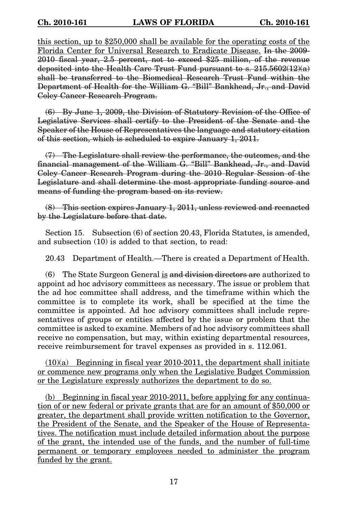this section, up to \$250,000 shall be available for the operating costs of the Florida Center for Universal Research to Eradicate Disease. In the 2009- 2010 fiscal year, 2.5 percent, not to exceed \$25 million, of the revenue deposited into the Health Care Trust Fund pursuant to s.  $215.5602(12)(a)$ shall be transferred to the Biomedical Research Trust Fund within the Department of Health for the William G. "Bill" Bankhead, Jr., and David Coley Cancer Research Program.

(6) By June 1, 2009, the Division of Statutory Revision of the Office of Legislative Services shall certify to the President of the Senate and the Speaker of the House of Representatives the language and statutory citation of this section, which is scheduled to expire January 1, 2011.

(7) The Legislature shall review the performance, the outcomes, and the financial management of the William G. "Bill" Bankhead, Jr., and David Coley Cancer Research Program during the 2010 Regular Session of the Legislature and shall determine the most appropriate funding source and means of funding the program based on its review.

(8) This section expires January 1, 2011, unless reviewed and reenacted by the Legislature before that date.

Section 15. Subsection (6) of section 20.43, Florida Statutes, is amended, and subsection (10) is added to that section, to read:

20.43 Department of Health.—There is created a Department of Health.

(6) The State Surgeon General is and division directors are authorized to appoint ad hoc advisory committees as necessary. The issue or problem that the ad hoc committee shall address, and the timeframe within which the committee is to complete its work, shall be specified at the time the committee is appointed. Ad hoc advisory committees shall include representatives of groups or entities affected by the issue or problem that the committee is asked to examine. Members of ad hoc advisory committees shall receive no compensation, but may, within existing departmental resources, receive reimbursement for travel expenses as provided in s. 112.061.

 $(10)(a)$  Beginning in fiscal year 2010-2011, the department shall initiate or commence new programs only when the Legislative Budget Commission or the Legislature expressly authorizes the department to do so.

(b) Beginning in fiscal year 2010-2011, before applying for any continuation of or new federal or private grants that are for an amount of \$50,000 or greater, the department shall provide written notification to the Governor, the President of the Senate, and the Speaker of the House of Representatives. The notification must include detailed information about the purpose of the grant, the intended use of the funds, and the number of full-time permanent or temporary employees needed to administer the program funded by the grant.

17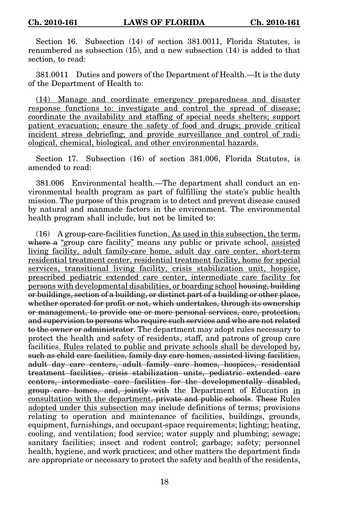Section 16. Subsection (14) of section 381.0011, Florida Statutes, is renumbered as subsection (15), and a new subsection (14) is added to that section, to read:

381.0011 Duties and powers of the Department of Health.—It is the duty of the Department of Health to:

(14) Manage and coordinate emergency preparedness and disaster response functions to: investigate and control the spread of disease; coordinate the availability and staffing of special needs shelters; support patient evacuation; ensure the safety of food and drugs; provide critical incident stress debriefing; and provide surveillance and control of radiological, chemical, biological, and other environmental hazards.

Section 17. Subsection (16) of section 381.006, Florida Statutes, is amended to read:

381.006 Environmental health.—The department shall conduct an environmental health program as part of fulfilling the state's public health mission. The purpose of this program is to detect and prevent disease caused by natural and manmade factors in the environment. The environmental health program shall include, but not be limited to:

(16) A group-care-facilities function. As used in this subsection, the term, where a "group care facility" means any public or private school, assisted living facility, adult family-care home, adult day care center, short-term residential treatment center, residential treatment facility, home for special services, transitional living facility, crisis stabilization unit, hospice, prescribed pediatric extended care center, intermediate care facility for persons with developmental disabilities, or boarding school housing, building or buildings, section of a building, or distinct part of a building or other place, whether operated for profit or not, which undertakes, through its ownership or management, to provide one or more personal services, care, protection, and supervision to persons who require such services and who are not related to the owner or administrator. The department may adopt rules necessary to protect the health and safety of residents, staff, and patrons of group care facilities. Rules related to public and private schools shall be developed by, such as child care facilities, family day care homes, assisted living facilities, adult day care centers, adult family care homes, hospices, residential treatment facilities, crisis stabilization units, pediatric extended care centers, intermediate care facilities for the developmentally disabled, group care homes, and, jointly with the Department of Education in consultation with the department, private and public schools. These Rules adopted under this subsection may include definitions of terms; provisions relating to operation and maintenance of facilities, buildings, grounds, equipment, furnishings, and occupant-space requirements; lighting; heating, cooling, and ventilation; food service; water supply and plumbing; sewage; sanitary facilities; insect and rodent control; garbage; safety; personnel health, hygiene, and work practices; and other matters the department finds are appropriate or necessary to protect the safety and health of the residents,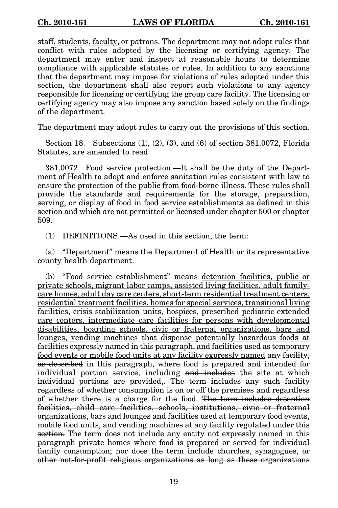staff, students, faculty, or patrons. The department may not adopt rules that conflict with rules adopted by the licensing or certifying agency. The department may enter and inspect at reasonable hours to determine compliance with applicable statutes or rules. In addition to any sanctions that the department may impose for violations of rules adopted under this section, the department shall also report such violations to any agency responsible for licensing or certifying the group care facility. The licensing or certifying agency may also impose any sanction based solely on the findings of the department.

The department may adopt rules to carry out the provisions of this section.

Section 18. Subsections (1), (2), (3), and (6) of section 381.0072, Florida Statutes, are amended to read:

381.0072 Food service protection.—It shall be the duty of the Department of Health to adopt and enforce sanitation rules consistent with law to ensure the protection of the public from food-borne illness. These rules shall provide the standards and requirements for the storage, preparation, serving, or display of food in food service establishments as defined in this section and which are not permitted or licensed under chapter 500 or chapter 509.

(1) DEFINITIONS.—As used in this section, the term:

(a) "Department" means the Department of Health or its representative county health department.

(b) "Food service establishment" means detention facilities, public or private schools, migrant labor camps, assisted living facilities, adult familycare homes, adult day care centers, short-term residential treatment centers, residential treatment facilities, homes for special services, transitional living facilities, crisis stabilization units, hospices, prescribed pediatric extended care centers, intermediate care facilities for persons with developmental disabilities, boarding schools, civic or fraternal organizations, bars and lounges, vending machines that dispense potentially hazardous foods at facilities expressly named in this paragraph, and facilities used as temporary food events or mobile food units at any facility expressly named any facility, as described in this paragraph, where food is prepared and intended for individual portion service, including and includes the site at which individual portions are provided, The term includes any such facility regardless of whether consumption is on or off the premises and regardless of whether there is a charge for the food. The term includes detention facilities, child care facilities, schools, institutions, civic or fraternal organizations, bars and lounges and facilities used at temporary food events, mobile food units, and vending machines at any facility regulated under this section. The term does not include any entity not expressly named in this paragraph private homes where food is prepared or served for individual family consumption; nor does the term include churches, synagogues, or other not-for-profit religious organizations as long as these organizations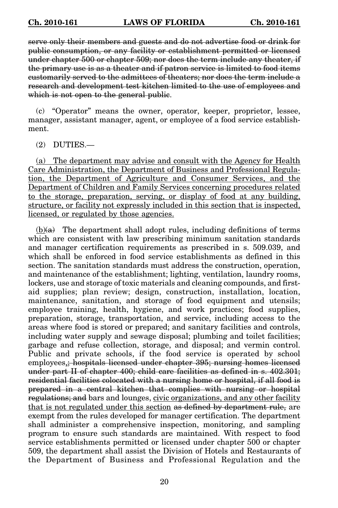serve only their members and guests and do not advertise food or drink for public consumption, or any facility or establishment permitted or licensed under chapter 500 or chapter 509; nor does the term include any theater, if the primary use is as a theater and if patron service is limited to food items customarily served to the admittees of theaters; nor does the term include a research and development test kitchen limited to the use of employees and which is not open to the general public.

(c) "Operator" means the owner, operator, keeper, proprietor, lessee, manager, assistant manager, agent, or employee of a food service establishment.

(2) DUTIES.—

(a) The department may advise and consult with the Agency for Health Care Administration, the Department of Business and Professional Regulation, the Department of Agriculture and Consumer Services, and the Department of Children and Family Services concerning procedures related to the storage, preparation, serving, or display of food at any building, structure, or facility not expressly included in this section that is inspected, licensed, or regulated by those agencies.

 $(b)(a)$  The department shall adopt rules, including definitions of terms which are consistent with law prescribing minimum sanitation standards and manager certification requirements as prescribed in s. 509.039, and which shall be enforced in food service establishments as defined in this section. The sanitation standards must address the construction, operation, and maintenance of the establishment; lighting, ventilation, laundry rooms, lockers, use and storage of toxic materials and cleaning compounds, and firstaid supplies; plan review; design, construction, installation, location, maintenance, sanitation, and storage of food equipment and utensils; employee training, health, hygiene, and work practices; food supplies, preparation, storage, transportation, and service, including access to the areas where food is stored or prepared; and sanitary facilities and controls, including water supply and sewage disposal; plumbing and toilet facilities; garbage and refuse collection, storage, and disposal; and vermin control. Public and private schools, if the food service is operated by school employees,; hospitals licensed under chapter 395; nursing homes licensed under part II of chapter 400; child care facilities as defined in s. 402.301; residential facilities colocated with a nursing home or hospital, if all food is prepared in a central kitchen that complies with nursing or hospital regulations; and bars and lounges, civic organizations, and any other facility that is not regulated under this section as defined by department rule, are exempt from the rules developed for manager certification. The department shall administer a comprehensive inspection, monitoring, and sampling program to ensure such standards are maintained. With respect to food service establishments permitted or licensed under chapter 500 or chapter 509, the department shall assist the Division of Hotels and Restaurants of the Department of Business and Professional Regulation and the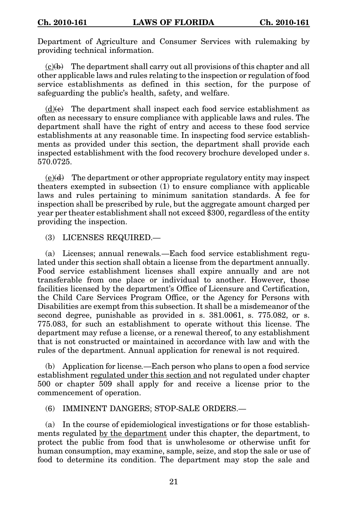Department of Agriculture and Consumer Services with rulemaking by providing technical information.

 $(c)(b)$  The department shall carry out all provisions of this chapter and all other applicable laws and rules relating to the inspection or regulation of food service establishments as defined in this section, for the purpose of safeguarding the public's health, safety, and welfare.

 $(d)$ (e) The department shall inspect each food service establishment as often as necessary to ensure compliance with applicable laws and rules. The department shall have the right of entry and access to these food service establishments at any reasonable time. In inspecting food service establishments as provided under this section, the department shall provide each inspected establishment with the food recovery brochure developed under s. 570.0725.

 $(e)(d)$  The department or other appropriate regulatory entity may inspect theaters exempted in subsection (1) to ensure compliance with applicable laws and rules pertaining to minimum sanitation standards. A fee for inspection shall be prescribed by rule, but the aggregate amount charged per year per theater establishment shall not exceed \$300, regardless of the entity providing the inspection.

## (3) LICENSES REQUIRED.—

(a) Licenses; annual renewals.—Each food service establishment regulated under this section shall obtain a license from the department annually. Food service establishment licenses shall expire annually and are not transferable from one place or individual to another. However, those facilities licensed by the department's Office of Licensure and Certification, the Child Care Services Program Office, or the Agency for Persons with Disabilities are exempt from this subsection. It shall be a misdemeanor of the second degree, punishable as provided in s. 381.0061, s. 775.082, or s. 775.083, for such an establishment to operate without this license. The department may refuse a license, or a renewal thereof, to any establishment that is not constructed or maintained in accordance with law and with the rules of the department. Annual application for renewal is not required.

(b) Application for license.—Each person who plans to open a food service establishment regulated under this section and not regulated under chapter 500 or chapter 509 shall apply for and receive a license prior to the commencement of operation.

## (6) IMMINENT DANGERS; STOP-SALE ORDERS.—

(a) In the course of epidemiological investigations or for those establishments regulated by the department under this chapter, the department, to protect the public from food that is unwholesome or otherwise unfit for human consumption, may examine, sample, seize, and stop the sale or use of food to determine its condition. The department may stop the sale and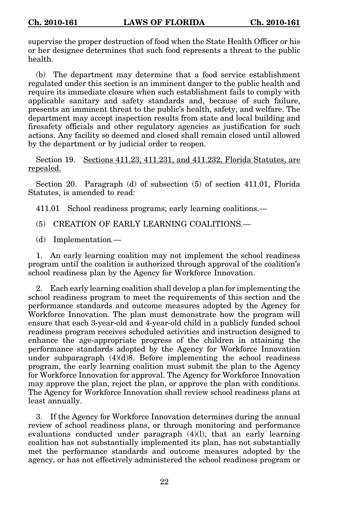supervise the proper destruction of food when the State Health Officer or his or her designee determines that such food represents a threat to the public health.

(b) The department may determine that a food service establishment regulated under this section is an imminent danger to the public health and require its immediate closure when such establishment fails to comply with applicable sanitary and safety standards and, because of such failure, presents an imminent threat to the public's health, safety, and welfare. The department may accept inspection results from state and local building and firesafety officials and other regulatory agencies as justification for such actions. Any facility so deemed and closed shall remain closed until allowed by the department or by judicial order to reopen.

Section 19. Sections 411.23, 411.231, and 411.232, Florida Statutes, are repealed.

Section 20. Paragraph (d) of subsection (5) of section 411.01, Florida Statutes, is amended to read:

411.01 School readiness programs; early learning coalitions.—

(5) CREATION OF EARLY LEARNING COALITIONS.—

(d) Implementation.—

1. An early learning coalition may not implement the school readiness program until the coalition is authorized through approval of the coalition's school readiness plan by the Agency for Workforce Innovation.

2. Each early learning coalition shall develop a plan for implementing the school readiness program to meet the requirements of this section and the performance standards and outcome measures adopted by the Agency for Workforce Innovation. The plan must demonstrate how the program will ensure that each 3-year-old and 4-year-old child in a publicly funded school readiness program receives scheduled activities and instruction designed to enhance the age-appropriate progress of the children in attaining the performance standards adopted by the Agency for Workforce Innovation under subparagraph  $(4)(d)8$ . Before implementing the school readiness program, the early learning coalition must submit the plan to the Agency for Workforce Innovation for approval. The Agency for Workforce Innovation may approve the plan, reject the plan, or approve the plan with conditions. The Agency for Workforce Innovation shall review school readiness plans at least annually.

3. If the Agency for Workforce Innovation determines during the annual review of school readiness plans, or through monitoring and performance evaluations conducted under paragraph (4)(l), that an early learning coalition has not substantially implemented its plan, has not substantially met the performance standards and outcome measures adopted by the agency, or has not effectively administered the school readiness program or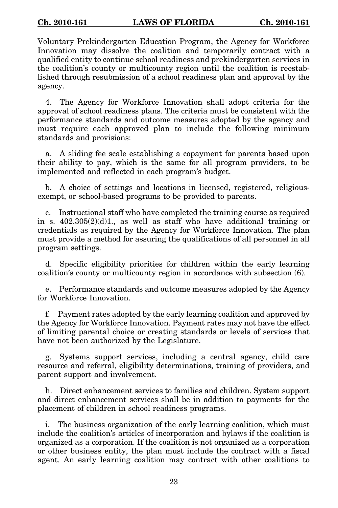Voluntary Prekindergarten Education Program, the Agency for Workforce Innovation may dissolve the coalition and temporarily contract with a qualified entity to continue school readiness and prekindergarten services in the coalition's county or multicounty region until the coalition is reestablished through resubmission of a school readiness plan and approval by the agency.

4. The Agency for Workforce Innovation shall adopt criteria for the approval of school readiness plans. The criteria must be consistent with the performance standards and outcome measures adopted by the agency and must require each approved plan to include the following minimum standards and provisions:

a. A sliding fee scale establishing a copayment for parents based upon their ability to pay, which is the same for all program providers, to be implemented and reflected in each program's budget.

b. A choice of settings and locations in licensed, registered, religiousexempt, or school-based programs to be provided to parents.

c. Instructional staff who have completed the training course as required in s.  $402.305(2)(d)1$ , as well as staff who have additional training or credentials as required by the Agency for Workforce Innovation. The plan must provide a method for assuring the qualifications of all personnel in all program settings.

d. Specific eligibility priorities for children within the early learning coalition's county or multicounty region in accordance with subsection (6).

e. Performance standards and outcome measures adopted by the Agency for Workforce Innovation.

f. Payment rates adopted by the early learning coalition and approved by the Agency for Workforce Innovation. Payment rates may not have the effect of limiting parental choice or creating standards or levels of services that have not been authorized by the Legislature.

g. Systems support services, including a central agency, child care resource and referral, eligibility determinations, training of providers, and parent support and involvement.

h. Direct enhancement services to families and children. System support and direct enhancement services shall be in addition to payments for the placement of children in school readiness programs.

i. The business organization of the early learning coalition, which must include the coalition's articles of incorporation and bylaws if the coalition is organized as a corporation. If the coalition is not organized as a corporation or other business entity, the plan must include the contract with a fiscal agent. An early learning coalition may contract with other coalitions to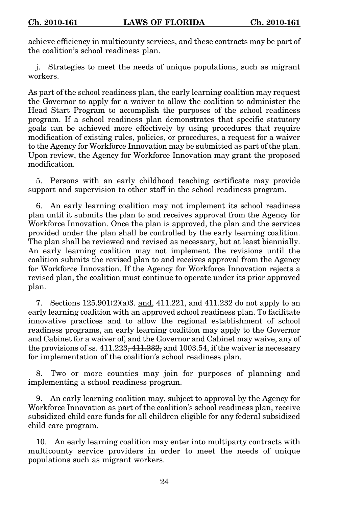achieve efficiency in multicounty services, and these contracts may be part of the coalition's school readiness plan.

j. Strategies to meet the needs of unique populations, such as migrant workers.

As part of the school readiness plan, the early learning coalition may request the Governor to apply for a waiver to allow the coalition to administer the Head Start Program to accomplish the purposes of the school readiness program. If a school readiness plan demonstrates that specific statutory goals can be achieved more effectively by using procedures that require modification of existing rules, policies, or procedures, a request for a waiver to the Agency for Workforce Innovation may be submitted as part of the plan. Upon review, the Agency for Workforce Innovation may grant the proposed modification.

5. Persons with an early childhood teaching certificate may provide support and supervision to other staff in the school readiness program.

6. An early learning coalition may not implement its school readiness plan until it submits the plan to and receives approval from the Agency for Workforce Innovation. Once the plan is approved, the plan and the services provided under the plan shall be controlled by the early learning coalition. The plan shall be reviewed and revised as necessary, but at least biennially. An early learning coalition may not implement the revisions until the coalition submits the revised plan to and receives approval from the Agency for Workforce Innovation. If the Agency for Workforce Innovation rejects a revised plan, the coalition must continue to operate under its prior approved plan.

7. Sections  $125.901(2)(a)3$ . and,  $411.221$ , and  $411.232$  do not apply to an early learning coalition with an approved school readiness plan. To facilitate innovative practices and to allow the regional establishment of school readiness programs, an early learning coalition may apply to the Governor and Cabinet for a waiver of, and the Governor and Cabinet may waive, any of the provisions of ss.  $411.223$ ,  $411.232$ , and  $1003.54$ , if the waiver is necessary for implementation of the coalition's school readiness plan.

8. Two or more counties may join for purposes of planning and implementing a school readiness program.

9. An early learning coalition may, subject to approval by the Agency for Workforce Innovation as part of the coalition's school readiness plan, receive subsidized child care funds for all children eligible for any federal subsidized child care program.

10. An early learning coalition may enter into multiparty contracts with multicounty service providers in order to meet the needs of unique populations such as migrant workers.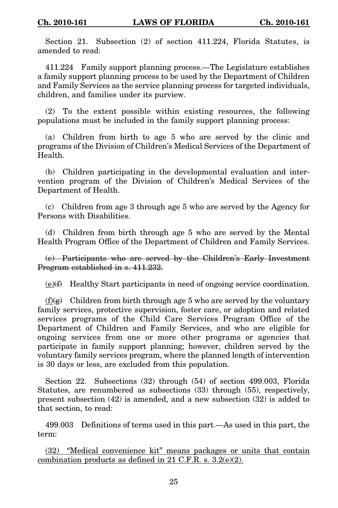Section 21. Subsection (2) of section 411.224, Florida Statutes, is amended to read:

411.224 Family support planning process.—The Legislature establishes a family support planning process to be used by the Department of Children and Family Services as the service planning process for targeted individuals, children, and families under its purview.

(2) To the extent possible within existing resources, the following populations must be included in the family support planning process:

(a) Children from birth to age 5 who are served by the clinic and programs of the Division of Children's Medical Services of the Department of Health.

(b) Children participating in the developmental evaluation and intervention program of the Division of Children's Medical Services of the Department of Health.

(c) Children from age 3 through age 5 who are served by the Agency for Persons with Disabilities.

(d) Children from birth through age 5 who are served by the Mental Health Program Office of the Department of Children and Family Services.

(e) Participants who are served by the Children's Early Investment Program established in s. 411.232.

 $(e)(f)$  Healthy Start participants in need of ongoing service coordination.

 $(f)(g)$  Children from birth through age 5 who are served by the voluntary family services, protective supervision, foster care, or adoption and related services programs of the Child Care Services Program Office of the Department of Children and Family Services, and who are eligible for ongoing services from one or more other programs or agencies that participate in family support planning; however, children served by the voluntary family services program, where the planned length of intervention is 30 days or less, are excluded from this population.

Section 22. Subsections (32) through (54) of section 499.003, Florida Statutes, are renumbered as subsections (33) through (55), respectively, present subsection (42) is amended, and a new subsection (32) is added to that section, to read:

499.003 Definitions of terms used in this part.—As used in this part, the term:

(32) "Medical convenience kit" means packages or units that contain combination products as defined in 21 C.F.R. s. 3.2(e)(2).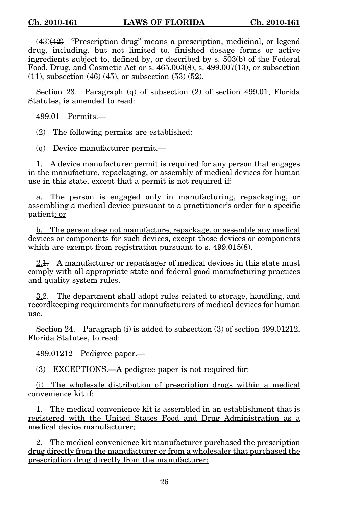$(43)(42)$  "Prescription drug" means a prescription, medicinal, or legend drug, including, but not limited to, finished dosage forms or active ingredients subject to, defined by, or described by s. 503(b) of the Federal Food, Drug, and Cosmetic Act or s. 465.003(8), s. 499.007(13), or subsection  $(11)$ , subsection  $(46)$   $(45)$ , or subsection  $(53)$   $(52)$ .

Section 23. Paragraph (q) of subsection (2) of section 499.01, Florida Statutes, is amended to read:

499.01 Permits.—

(2) The following permits are established:

(q) Device manufacturer permit.—

1. A device manufacturer permit is required for any person that engages in the manufacture, repackaging, or assembly of medical devices for human use in this state, except that a permit is not required if:

a. The person is engaged only in manufacturing, repackaging, or assembling a medical device pursuant to a practitioner's order for a specific patient; or

b. The person does not manufacture, repackage, or assemble any medical devices or components for such devices, except those devices or components which are exempt from registration pursuant to s. 499.015(8).

2.1. A manufacturer or repackager of medical devices in this state must comply with all appropriate state and federal good manufacturing practices and quality system rules.

3.2. The department shall adopt rules related to storage, handling, and recordkeeping requirements for manufacturers of medical devices for human use.

Section 24. Paragraph (i) is added to subsection (3) of section 499.01212, Florida Statutes, to read:

499.01212 Pedigree paper.—

(3) EXCEPTIONS.—A pedigree paper is not required for:

(i) The wholesale distribution of prescription drugs within a medical convenience kit if:

1. The medical convenience kit is assembled in an establishment that is registered with the United States Food and Drug Administration as a medical device manufacturer;

2. The medical convenience kit manufacturer purchased the prescription drug directly from the manufacturer or from a wholesaler that purchased the prescription drug directly from the manufacturer;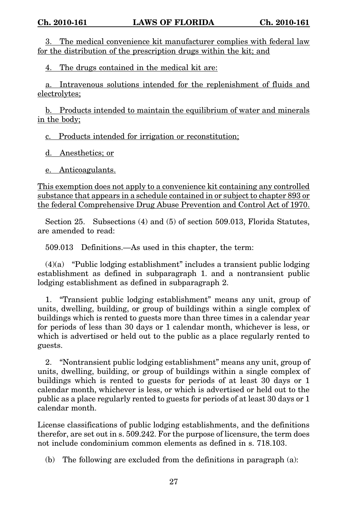3. The medical convenience kit manufacturer complies with federal law for the distribution of the prescription drugs within the kit; and

4. The drugs contained in the medical kit are:

a. Intravenous solutions intended for the replenishment of fluids and electrolytes;

b. Products intended to maintain the equilibrium of water and minerals in the body;

c. Products intended for irrigation or reconstitution;

d. Anesthetics; or

e. Anticoagulants.

This exemption does not apply to a convenience kit containing any controlled substance that appears in a schedule contained in or subject to chapter 893 or the federal Comprehensive Drug Abuse Prevention and Control Act of 1970.

Section 25. Subsections (4) and (5) of section 509.013, Florida Statutes, are amended to read:

509.013 Definitions.—As used in this chapter, the term:

(4)(a) "Public lodging establishment" includes a transient public lodging establishment as defined in subparagraph 1. and a nontransient public lodging establishment as defined in subparagraph 2.

1. "Transient public lodging establishment" means any unit, group of units, dwelling, building, or group of buildings within a single complex of buildings which is rented to guests more than three times in a calendar year for periods of less than 30 days or 1 calendar month, whichever is less, or which is advertised or held out to the public as a place regularly rented to guests.

2. "Nontransient public lodging establishment" means any unit, group of units, dwelling, building, or group of buildings within a single complex of buildings which is rented to guests for periods of at least 30 days or 1 calendar month, whichever is less, or which is advertised or held out to the public as a place regularly rented to guests for periods of at least 30 days or 1 calendar month.

License classifications of public lodging establishments, and the definitions therefor, are set out in s. 509.242. For the purpose of licensure, the term does not include condominium common elements as defined in s. 718.103.

(b) The following are excluded from the definitions in paragraph (a):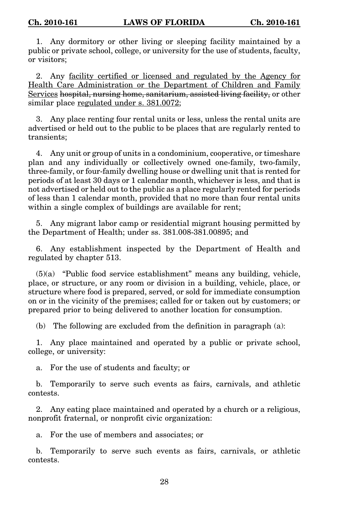1. Any dormitory or other living or sleeping facility maintained by a public or private school, college, or university for the use of students, faculty, or visitors;

2. Any facility certified or licensed and regulated by the Agency for Health Care Administration or the Department of Children and Family Services hospital, nursing home, sanitarium, assisted living facility, or other similar place regulated under s. 381.0072;

3. Any place renting four rental units or less, unless the rental units are advertised or held out to the public to be places that are regularly rented to transients;

4. Any unit or group of units in a condominium, cooperative, or timeshare plan and any individually or collectively owned one-family, two-family, three-family, or four-family dwelling house or dwelling unit that is rented for periods of at least 30 days or 1 calendar month, whichever is less, and that is not advertised or held out to the public as a place regularly rented for periods of less than 1 calendar month, provided that no more than four rental units within a single complex of buildings are available for rent;

5. Any migrant labor camp or residential migrant housing permitted by the Department of Health; under ss. 381.008-381.00895; and

6. Any establishment inspected by the Department of Health and regulated by chapter 513.

(5)(a) "Public food service establishment" means any building, vehicle, place, or structure, or any room or division in a building, vehicle, place, or structure where food is prepared, served, or sold for immediate consumption on or in the vicinity of the premises; called for or taken out by customers; or prepared prior to being delivered to another location for consumption.

(b) The following are excluded from the definition in paragraph (a):

1. Any place maintained and operated by a public or private school, college, or university:

a. For the use of students and faculty; or

b. Temporarily to serve such events as fairs, carnivals, and athletic contests.

2. Any eating place maintained and operated by a church or a religious, nonprofit fraternal, or nonprofit civic organization:

a. For the use of members and associates; or

b. Temporarily to serve such events as fairs, carnivals, or athletic contests.

28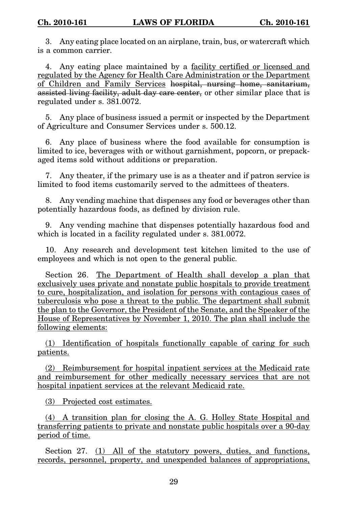3. Any eating place located on an airplane, train, bus, or watercraft which is a common carrier.

4. Any eating place maintained by a facility certified or licensed and regulated by the Agency for Health Care Administration or the Department of Children and Family Services hospital, nursing home, sanitarium, assisted living facility, adult day care center, or other similar place that is regulated under s. 381.0072.

5. Any place of business issued a permit or inspected by the Department of Agriculture and Consumer Services under s. 500.12.

6. Any place of business where the food available for consumption is limited to ice, beverages with or without garnishment, popcorn, or prepackaged items sold without additions or preparation.

7. Any theater, if the primary use is as a theater and if patron service is limited to food items customarily served to the admittees of theaters.

8. Any vending machine that dispenses any food or beverages other than potentially hazardous foods, as defined by division rule.

9. Any vending machine that dispenses potentially hazardous food and which is located in a facility regulated under s. 381.0072.

10. Any research and development test kitchen limited to the use of employees and which is not open to the general public.

Section 26. The Department of Health shall develop a plan that exclusively uses private and nonstate public hospitals to provide treatment to cure, hospitalization, and isolation for persons with contagious cases of tuberculosis who pose a threat to the public. The department shall submit the plan to the Governor, the President of the Senate, and the Speaker of the House of Representatives by November 1, 2010. The plan shall include the following elements:

(1) Identification of hospitals functionally capable of caring for such patients.

(2) Reimbursement for hospital inpatient services at the Medicaid rate and reimbursement for other medically necessary services that are not hospital inpatient services at the relevant Medicaid rate.

(3) Projected cost estimates.

(4) A transition plan for closing the A. G. Holley State Hospital and transferring patients to private and nonstate public hospitals over a 90-day period of time.

Section 27. (1) All of the statutory powers, duties, and functions, records, personnel, property, and unexpended balances of appropriations,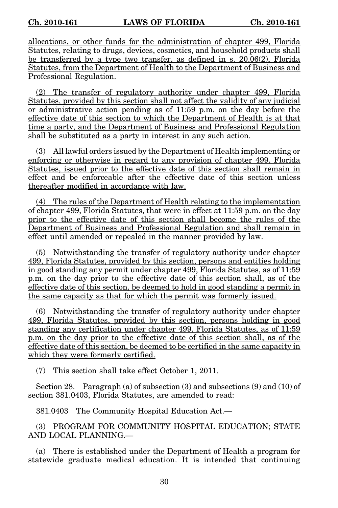allocations, or other funds for the administration of chapter 499, Florida Statutes, relating to drugs, devices, cosmetics, and household products shall be transferred by a type two transfer, as defined in s.  $20.06(2)$ . Florida Statutes, from the Department of Health to the Department of Business and Professional Regulation.

(2) The transfer of regulatory authority under chapter 499, Florida Statutes, provided by this section shall not affect the validity of any judicial or administrative action pending as of 11:59 p.m. on the day before the effective date of this section to which the Department of Health is at that time a party, and the Department of Business and Professional Regulation shall be substituted as a party in interest in any such action.

(3) All lawful orders issued by the Department of Health implementing or enforcing or otherwise in regard to any provision of chapter 499, Florida Statutes, issued prior to the effective date of this section shall remain in effect and be enforceable after the effective date of this section unless thereafter modified in accordance with law.

(4) The rules of the Department of Health relating to the implementation of chapter 499, Florida Statutes, that were in effect at 11:59 p.m. on the day prior to the effective date of this section shall become the rules of the Department of Business and Professional Regulation and shall remain in effect until amended or repealed in the manner provided by law.

(5) Notwithstanding the transfer of regulatory authority under chapter 499, Florida Statutes, provided by this section, persons and entities holding in good standing any permit under chapter 499, Florida Statutes, as of 11:59 p.m. on the day prior to the effective date of this section shall, as of the effective date of this section, be deemed to hold in good standing a permit in the same capacity as that for which the permit was formerly issued.

(6) Notwithstanding the transfer of regulatory authority under chapter 499, Florida Statutes, provided by this section, persons holding in good standing any certification under chapter 499, Florida Statutes, as of 11:59 p.m. on the day prior to the effective date of this section shall, as of the effective date of this section, be deemed to be certified in the same capacity in which they were formerly certified.

(7) This section shall take effect October 1, 2011.

Section 28. Paragraph (a) of subsection  $(3)$  and subsections  $(9)$  and  $(10)$  of section 381.0403, Florida Statutes, are amended to read:

381.0403 The Community Hospital Education Act.—

(3) PROGRAM FOR COMMUNITY HOSPITAL EDUCATION; STATE AND LOCAL PLANNING.—

(a) There is established under the Department of Health a program for statewide graduate medical education. It is intended that continuing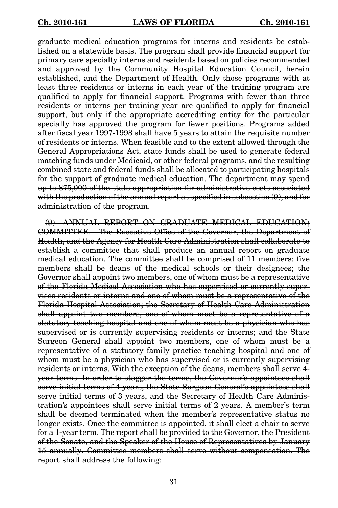graduate medical education programs for interns and residents be established on a statewide basis. The program shall provide financial support for primary care specialty interns and residents based on policies recommended and approved by the Community Hospital Education Council, herein established, and the Department of Health. Only those programs with at least three residents or interns in each year of the training program are qualified to apply for financial support. Programs with fewer than three residents or interns per training year are qualified to apply for financial support, but only if the appropriate accrediting entity for the particular specialty has approved the program for fewer positions. Programs added after fiscal year 1997-1998 shall have 5 years to attain the requisite number of residents or interns. When feasible and to the extent allowed through the General Appropriations Act, state funds shall be used to generate federal matching funds under Medicaid, or other federal programs, and the resulting combined state and federal funds shall be allocated to participating hospitals for the support of graduate medical education. The department may spend up to \$75,000 of the state appropriation for administrative costs associated with the production of the annual report as specified in subsection  $(9)$ , and for administration of the program.

(9) ANNUAL REPORT ON GRADUATE MEDICAL EDUCATION; COMMITTEE.—The Executive Office of the Governor, the Department of Health, and the Agency for Health Care Administration shall collaborate to establish a committee that shall produce an annual report on graduate medical education. The committee shall be comprised of 11 members: five members shall be deans of the medical schools or their designees; the Governor shall appoint two members, one of whom must be a representative of the Florida Medical Association who has supervised or currently supervises residents or interns and one of whom must be a representative of the Florida Hospital Association; the Secretary of Health Care Administration shall appoint two members, one of whom must be a representative of a statutory teaching hospital and one of whom must be a physician who has supervised or is currently supervising residents or interns; and the State Surgeon General shall appoint two members, one of whom must be a representative of a statutory family practice teaching hospital and one of whom must be a physician who has supervised or is currently supervising residents or interns. With the exception of the deans, members shall serve 4 year terms. In order to stagger the terms, the Governor's appointees shall serve initial terms of 4 years, the State Surgeon General's appointees shall serve initial terms of 3 years, and the Secretary of Health Care Administration's appointees shall serve initial terms of 2 years. A member's term shall be deemed terminated when the member's representative status no longer exists. Once the committee is appointed, it shall elect a chair to serve for a 1-year term. The report shall be provided to the Governor, the President of the Senate, and the Speaker of the House of Representatives by January 15 annually. Committee members shall serve without compensation. The report shall address the following: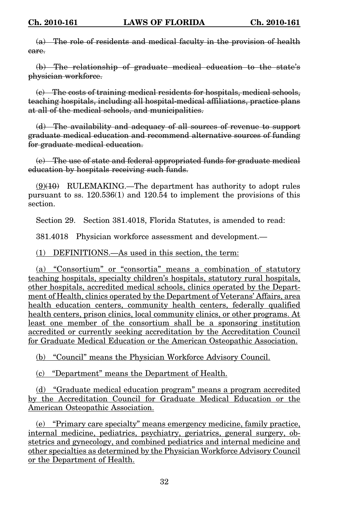(a) The role of residents and medical faculty in the provision of health care.

(b) The relationship of graduate medical education to the state's physician workforce.

(c) The costs of training medical residents for hospitals, medical schools, teaching hospitals, including all hospital-medical affiliations, practice plans at all of the medical schools, and municipalities.

(d) The availability and adequacy of all sources of revenue to support graduate medical education and recommend alternative sources of funding for graduate medical education.

(e) The use of state and federal appropriated funds for graduate medical education by hospitals receiving such funds.

 $(9)(10)$  RULEMAKING.—The department has authority to adopt rules pursuant to ss. 120.536(1) and 120.54 to implement the provisions of this section.

Section 29. Section 381.4018, Florida Statutes, is amended to read:

381.4018 Physician workforce assessment and development.—

(1) DEFINITIONS.—As used in this section, the term:

(a) "Consortium" or "consortia" means a combination of statutory teaching hospitals, specialty children's hospitals, statutory rural hospitals, other hospitals, accredited medical schools, clinics operated by the Department of Health, clinics operated by the Department of Veterans' Affairs, area health education centers, community health centers, federally qualified health centers, prison clinics, local community clinics, or other programs. At least one member of the consortium shall be a sponsoring institution accredited or currently seeking accreditation by the Accreditation Council for Graduate Medical Education or the American Osteopathic Association.

(b) "Council" means the Physician Workforce Advisory Council.

(c) "Department" means the Department of Health.

(d) "Graduate medical education program" means a program accredited by the Accreditation Council for Graduate Medical Education or the American Osteopathic Association.

(e) "Primary care specialty" means emergency medicine, family practice, internal medicine, pediatrics, psychiatry, geriatrics, general surgery, obstetrics and gynecology, and combined pediatrics and internal medicine and other specialties as determined by the Physician Workforce Advisory Council or the Department of Health.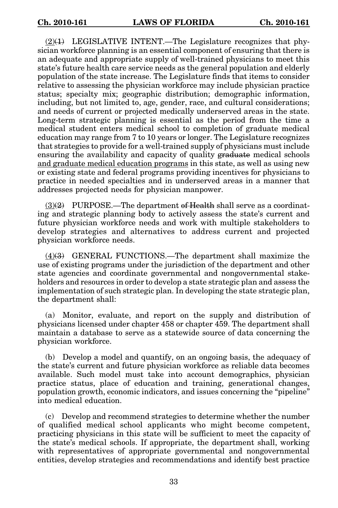$(2)(1)$  LEGISLATIVE INTENT.—The Legislature recognizes that physician workforce planning is an essential component of ensuring that there is an adequate and appropriate supply of well-trained physicians to meet this state's future health care service needs as the general population and elderly population of the state increase. The Legislature finds that items to consider relative to assessing the physician workforce may include physician practice status; specialty mix; geographic distribution; demographic information, including, but not limited to, age, gender, race, and cultural considerations; and needs of current or projected medically underserved areas in the state. Long-term strategic planning is essential as the period from the time a medical student enters medical school to completion of graduate medical education may range from 7 to 10 years or longer. The Legislature recognizes that strategies to provide for a well-trained supply of physicians must include ensuring the availability and capacity of quality graduate medical schools and graduate medical education programs in this state, as well as using new or existing state and federal programs providing incentives for physicians to practice in needed specialties and in underserved areas in a manner that addresses projected needs for physician manpower.

 $(3)(2)$  PURPOSE.—The department of Health shall serve as a coordinating and strategic planning body to actively assess the state's current and future physician workforce needs and work with multiple stakeholders to develop strategies and alternatives to address current and projected physician workforce needs.

(4)(3) GENERAL FUNCTIONS.—The department shall maximize the use of existing programs under the jurisdiction of the department and other state agencies and coordinate governmental and nongovernmental stakeholders and resources in order to develop a state strategic plan and assess the implementation of such strategic plan. In developing the state strategic plan, the department shall:

(a) Monitor, evaluate, and report on the supply and distribution of physicians licensed under chapter 458 or chapter 459. The department shall maintain a database to serve as a statewide source of data concerning the physician workforce.

(b) Develop a model and quantify, on an ongoing basis, the adequacy of the state's current and future physician workforce as reliable data becomes available. Such model must take into account demographics, physician practice status, place of education and training, generational changes, population growth, economic indicators, and issues concerning the "pipeline" into medical education.

(c) Develop and recommend strategies to determine whether the number of qualified medical school applicants who might become competent, practicing physicians in this state will be sufficient to meet the capacity of the state's medical schools. If appropriate, the department shall, working with representatives of appropriate governmental and nongovernmental entities, develop strategies and recommendations and identify best practice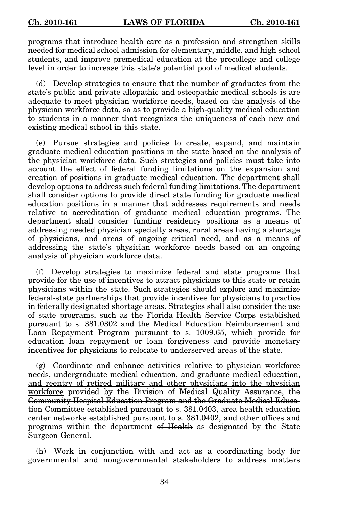programs that introduce health care as a profession and strengthen skills needed for medical school admission for elementary, middle, and high school students, and improve premedical education at the precollege and college level in order to increase this state's potential pool of medical students.

(d) Develop strategies to ensure that the number of graduates from the state's public and private allopathic and osteopathic medical schools is are adequate to meet physician workforce needs, based on the analysis of the physician workforce data, so as to provide a high-quality medical education to students in a manner that recognizes the uniqueness of each new and existing medical school in this state.

(e) Pursue strategies and policies to create, expand, and maintain graduate medical education positions in the state based on the analysis of the physician workforce data. Such strategies and policies must take into account the effect of federal funding limitations on the expansion and creation of positions in graduate medical education. The department shall develop options to address such federal funding limitations. The department shall consider options to provide direct state funding for graduate medical education positions in a manner that addresses requirements and needs relative to accreditation of graduate medical education programs. The department shall consider funding residency positions as a means of addressing needed physician specialty areas, rural areas having a shortage of physicians, and areas of ongoing critical need, and as a means of addressing the state's physician workforce needs based on an ongoing analysis of physician workforce data.

(f) Develop strategies to maximize federal and state programs that provide for the use of incentives to attract physicians to this state or retain physicians within the state. Such strategies should explore and maximize federal-state partnerships that provide incentives for physicians to practice in federally designated shortage areas. Strategies shall also consider the use of state programs, such as the Florida Health Service Corps established pursuant to s. 381.0302 and the Medical Education Reimbursement and Loan Repayment Program pursuant to s. 1009.65, which provide for education loan repayment or loan forgiveness and provide monetary incentives for physicians to relocate to underserved areas of the state.

(g) Coordinate and enhance activities relative to physician workforce needs, undergraduate medical education, and graduate medical education, and reentry of retired military and other physicians into the physician workforce provided by the Division of Medical Quality Assurance, the Community Hospital Education Program and the Graduate Medical Education Committee established pursuant to s. 381.0403, area health education center networks established pursuant to s. 381.0402, and other offices and programs within the department of Health as designated by the State Surgeon General.

(h) Work in conjunction with and act as a coordinating body for governmental and nongovernmental stakeholders to address matters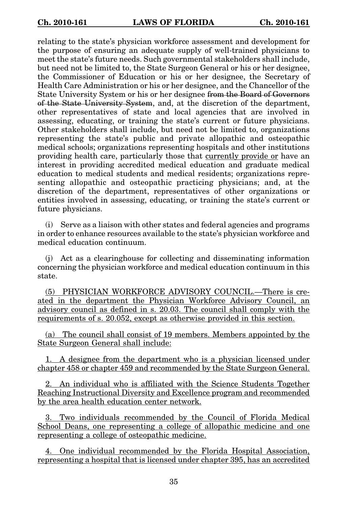relating to the state's physician workforce assessment and development for the purpose of ensuring an adequate supply of well-trained physicians to meet the state's future needs. Such governmental stakeholders shall include, but need not be limited to, the State Surgeon General or his or her designee, the Commissioner of Education or his or her designee, the Secretary of Health Care Administration or his or her designee, and the Chancellor of the State University System or his or her designee from the Board of Governors of the State University System, and, at the discretion of the department, other representatives of state and local agencies that are involved in assessing, educating, or training the state's current or future physicians. Other stakeholders shall include, but need not be limited to, organizations representing the state's public and private allopathic and osteopathic medical schools; organizations representing hospitals and other institutions providing health care, particularly those that currently provide or have an interest in providing accredited medical education and graduate medical education to medical students and medical residents; organizations representing allopathic and osteopathic practicing physicians; and, at the discretion of the department, representatives of other organizations or entities involved in assessing, educating, or training the state's current or future physicians.

(i) Serve as a liaison with other states and federal agencies and programs in order to enhance resources available to the state's physician workforce and medical education continuum.

(j) Act as a clearinghouse for collecting and disseminating information concerning the physician workforce and medical education continuum in this state.

(5) PHYSICIAN WORKFORCE ADVISORY COUNCIL.—There is created in the department the Physician Workforce Advisory Council, an advisory council as defined in s. 20.03. The council shall comply with the requirements of s. 20.052, except as otherwise provided in this section.

(a) The council shall consist of 19 members. Members appointed by the State Surgeon General shall include:

1. A designee from the department who is a physician licensed under chapter 458 or chapter 459 and recommended by the State Surgeon General.

2. An individual who is affiliated with the Science Students Together Reaching Instructional Diversity and Excellence program and recommended by the area health education center network.

3. Two individuals recommended by the Council of Florida Medical School Deans, one representing a college of allopathic medicine and one representing a college of osteopathic medicine.

4. One individual recommended by the Florida Hospital Association, representing a hospital that is licensed under chapter 395, has an accredited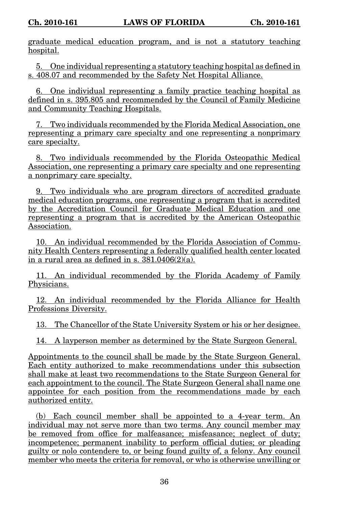graduate medical education program, and is not a statutory teaching hospital.

5. One individual representing a statutory teaching hospital as defined in s. 408.07 and recommended by the Safety Net Hospital Alliance.

6. One individual representing a family practice teaching hospital as defined in s. 395.805 and recommended by the Council of Family Medicine and Community Teaching Hospitals.

7. Two individuals recommended by the Florida Medical Association, one representing a primary care specialty and one representing a nonprimary care specialty.

8. Two individuals recommended by the Florida Osteopathic Medical Association, one representing a primary care specialty and one representing a nonprimary care specialty.

9. Two individuals who are program directors of accredited graduate medical education programs, one representing a program that is accredited by the Accreditation Council for Graduate Medical Education and one representing a program that is accredited by the American Osteopathic Association.

10. An individual recommended by the Florida Association of Community Health Centers representing a federally qualified health center located in a rural area as defined in s.  $381.0406(2)(a)$ .

11. An individual recommended by the Florida Academy of Family Physicians.

12. An individual recommended by the Florida Alliance for Health Professions Diversity.

13. The Chancellor of the State University System or his or her designee.

14. A layperson member as determined by the State Surgeon General.

Appointments to the council shall be made by the State Surgeon General. Each entity authorized to make recommendations under this subsection shall make at least two recommendations to the State Surgeon General for each appointment to the council. The State Surgeon General shall name one appointee for each position from the recommendations made by each authorized entity.

(b) Each council member shall be appointed to a 4-year term. An individual may not serve more than two terms. Any council member may be removed from office for malfeasance; misfeasance; neglect of duty; incompetence; permanent inability to perform official duties; or pleading guilty or nolo contendere to, or being found guilty of, a felony. Any council member who meets the criteria for removal, or who is otherwise unwilling or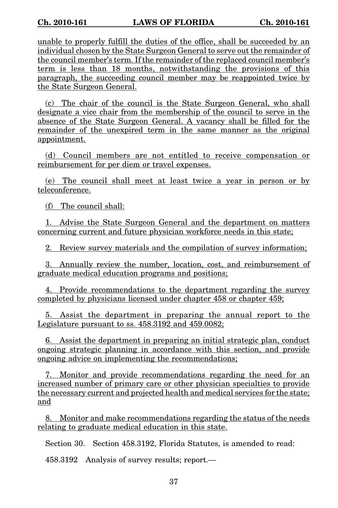unable to properly fulfill the duties of the office, shall be succeeded by an individual chosen by the State Surgeon General to serve out the remainder of the council member's term. If the remainder of the replaced council member's term is less than 18 months, notwithstanding the provisions of this paragraph, the succeeding council member may be reappointed twice by the State Surgeon General.

(c) The chair of the council is the State Surgeon General, who shall designate a vice chair from the membership of the council to serve in the absence of the State Surgeon General. A vacancy shall be filled for the remainder of the unexpired term in the same manner as the original appointment.

(d) Council members are not entitled to receive compensation or reimbursement for per diem or travel expenses.

(e) The council shall meet at least twice a year in person or by teleconference.

(f) The council shall:

1. Advise the State Surgeon General and the department on matters concerning current and future physician workforce needs in this state;

2. Review survey materials and the compilation of survey information;

3. Annually review the number, location, cost, and reimbursement of graduate medical education programs and positions;

4. Provide recommendations to the department regarding the survey completed by physicians licensed under chapter 458 or chapter 459;

5. Assist the department in preparing the annual report to the Legislature pursuant to ss. 458.3192 and 459.0082;

6. Assist the department in preparing an initial strategic plan, conduct ongoing strategic planning in accordance with this section, and provide ongoing advice on implementing the recommendations;

7. Monitor and provide recommendations regarding the need for an increased number of primary care or other physician specialties to provide the necessary current and projected health and medical services for the state; and

8. Monitor and make recommendations regarding the status of the needs relating to graduate medical education in this state.

Section 30. Section 458.3192, Florida Statutes, is amended to read:

458.3192 Analysis of survey results; report.—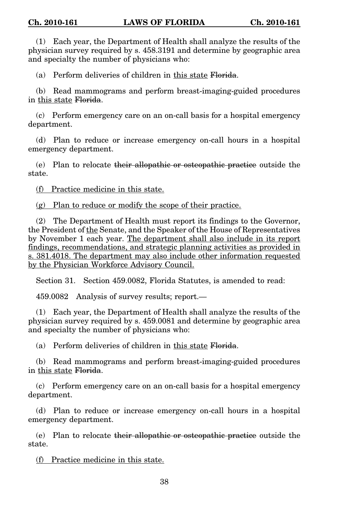(1) Each year, the Department of Health shall analyze the results of the physician survey required by s. 458.3191 and determine by geographic area and specialty the number of physicians who:

(a) Perform deliveries of children in this state Florida.

(b) Read mammograms and perform breast-imaging-guided procedures in this state Florida.

(c) Perform emergency care on an on-call basis for a hospital emergency department.

(d) Plan to reduce or increase emergency on-call hours in a hospital emergency department.

(e) Plan to relocate their allopathic or osteopathic practice outside the state.

(f) Practice medicine in this state.

(g) Plan to reduce or modify the scope of their practice.

(2) The Department of Health must report its findings to the Governor, the President of the Senate, and the Speaker of the House of Representatives by November 1 each year. The department shall also include in its report findings, recommendations, and strategic planning activities as provided in s. 381.4018. The department may also include other information requested by the Physician Workforce Advisory Council.

Section 31. Section 459.0082, Florida Statutes, is amended to read:

459.0082 Analysis of survey results; report.—

(1) Each year, the Department of Health shall analyze the results of the physician survey required by s. 459.0081 and determine by geographic area and specialty the number of physicians who:

(a) Perform deliveries of children in this state Florida.

(b) Read mammograms and perform breast-imaging-guided procedures in this state Florida.

(c) Perform emergency care on an on-call basis for a hospital emergency department.

(d) Plan to reduce or increase emergency on-call hours in a hospital emergency department.

(e) Plan to relocate their allopathic or osteopathic practice outside the state.

(f) Practice medicine in this state.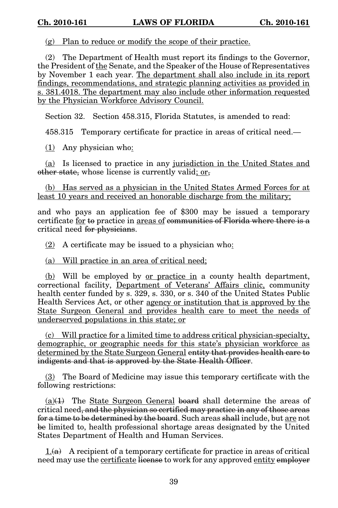(g) Plan to reduce or modify the scope of their practice.

(2) The Department of Health must report its findings to the Governor, the President of the Senate, and the Speaker of the House of Representatives by November 1 each year. The department shall also include in its report findings, recommendations, and strategic planning activities as provided in s. 381.4018. The department may also include other information requested by the Physician Workforce Advisory Council.

Section 32. Section 458.315, Florida Statutes, is amended to read:

458.315 Temporary certificate for practice in areas of critical need.—

(1) Any physician who:

(a) Is licensed to practice in any jurisdiction in the United States and other state, whose license is currently valid; or,

(b) Has served as a physician in the United States Armed Forces for at least 10 years and received an honorable discharge from the military;

and who pays an application fee of \$300 may be issued a temporary certificate for to practice in areas of communities of Florida where there is a critical need for physicians.

(2) A certificate may be issued to a physician who:

(a) Will practice in an area of critical need;

(b) Will be employed by or practice in a county health department, correctional facility, Department of Veterans' Affairs clinic, community health center funded by s. 329, s. 330, or s. 340 of the United States Public Health Services Act, or other agency or institution that is approved by the State Surgeon General and provides health care to meet the needs of underserved populations in this state; or

(c) Will practice for a limited time to address critical physician-specialty, demographic, or geographic needs for this state's physician workforce as determined by the State Surgeon General entity that provides health care to indigents and that is approved by the State Health Officer.

(3) The Board of Medicine may issue this temporary certificate with the following restrictions:

 $(a)(1)$  The State Surgeon General board shall determine the areas of critical need, and the physician so certified may practice in any of those areas for a time to be determined by the board. Such areas shall include, but are not be limited to, health professional shortage areas designated by the United States Department of Health and Human Services.

 $1.6a$  A recipient of a temporary certificate for practice in areas of critical need may use the certificate license to work for any approved entity employer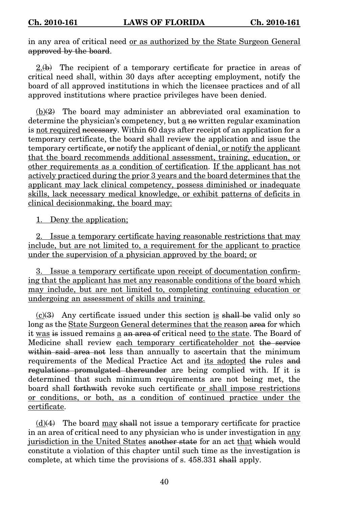in any area of critical need or as authorized by the State Surgeon General approved by the board.

 $2.(\theta)$  The recipient of a temporary certificate for practice in areas of critical need shall, within 30 days after accepting employment, notify the board of all approved institutions in which the licensee practices and of all approved institutions where practice privileges have been denied.

 $(b)(2)$  The board may administer an abbreviated oral examination to determine the physician's competency, but a no written regular examination is not required necessary. Within 60 days after receipt of an application for a temporary certificate, the board shall review the application and issue the temporary certificate, or notify the applicant of denial, or notify the applicant that the board recommends additional assessment, training, education, or other requirements as a condition of certification. If the applicant has not actively practiced during the prior 3 years and the board determines that the applicant may lack clinical competency, possess diminished or inadequate skills, lack necessary medical knowledge, or exhibit patterns of deficits in clinical decisionmaking, the board may:

1. Deny the application;

2. Issue a temporary certificate having reasonable restrictions that may include, but are not limited to, a requirement for the applicant to practice under the supervision of a physician approved by the board; or

3. Issue a temporary certificate upon receipt of documentation confirming that the applicant has met any reasonable conditions of the board which may include, but are not limited to, completing continuing education or undergoing an assessment of skills and training.

 $(c)(3)$  Any certificate issued under this section is shall be valid only so long as the State Surgeon General determines that the reason area for which it was is issued remains a an area of critical need to the state. The Board of Medicine shall review each temporary certificateholder not the service within said area not less than annually to ascertain that the minimum requirements of the Medical Practice Act and its adopted the rules and regulations promulgated thereunder are being complied with. If it is determined that such minimum requirements are not being met, the board shall forthwith revoke such certificate or shall impose restrictions or conditions, or both, as a condition of continued practice under the certificate.

 $(d)(4)$  The board may shall not issue a temporary certificate for practice in an area of critical need to any physician who is under investigation in any jurisdiction in the United States another state for an act that which would constitute a violation of this chapter until such time as the investigation is complete, at which time the provisions of s. 458.331 shall apply.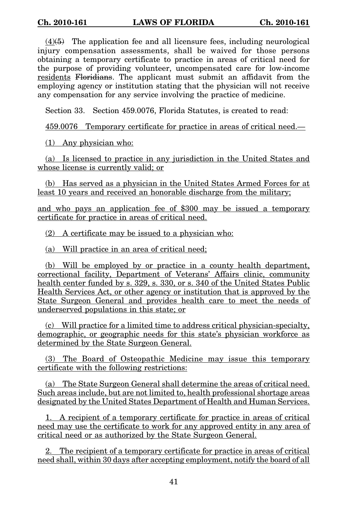$(4)(5)$  The application fee and all licensure fees, including neurological injury compensation assessments, shall be waived for those persons obtaining a temporary certificate to practice in areas of critical need for the purpose of providing volunteer, uncompensated care for low-income residents Floridians. The applicant must submit an affidavit from the employing agency or institution stating that the physician will not receive any compensation for any service involving the practice of medicine.

Section 33. Section 459.0076, Florida Statutes, is created to read:

459.0076 Temporary certificate for practice in areas of critical need.—

(1) Any physician who:

(a) Is licensed to practice in any jurisdiction in the United States and whose license is currently valid; or

(b) Has served as a physician in the United States Armed Forces for at least 10 years and received an honorable discharge from the military;

and who pays an application fee of \$300 may be issued a temporary certificate for practice in areas of critical need.

(2) A certificate may be issued to a physician who:

(a) Will practice in an area of critical need;

(b) Will be employed by or practice in a county health department, correctional facility, Department of Veterans' Affairs clinic, community health center funded by s. 329, s. 330, or s. 340 of the United States Public Health Services Act, or other agency or institution that is approved by the State Surgeon General and provides health care to meet the needs of underserved populations in this state; or

(c) Will practice for a limited time to address critical physician-specialty, demographic, or geographic needs for this state's physician workforce as determined by the State Surgeon General.

(3) The Board of Osteopathic Medicine may issue this temporary certificate with the following restrictions:

(a) The State Surgeon General shall determine the areas of critical need. Such areas include, but are not limited to, health professional shortage areas designated by the United States Department of Health and Human Services.

1. A recipient of a temporary certificate for practice in areas of critical need may use the certificate to work for any approved entity in any area of critical need or as authorized by the State Surgeon General.

2. The recipient of a temporary certificate for practice in areas of critical need shall, within 30 days after accepting employment, notify the board of all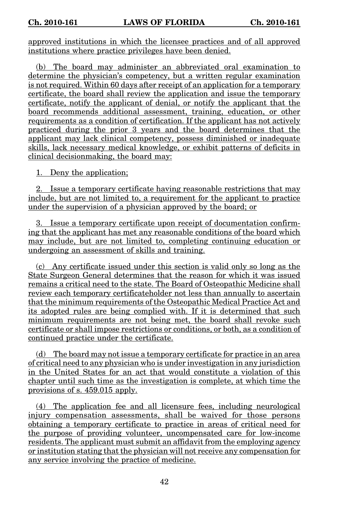approved institutions in which the licensee practices and of all approved institutions where practice privileges have been denied.

(b) The board may administer an abbreviated oral examination to determine the physician's competency, but a written regular examination is not required. Within 60 days after receipt of an application for a temporary certificate, the board shall review the application and issue the temporary certificate, notify the applicant of denial, or notify the applicant that the board recommends additional assessment, training, education, or other requirements as a condition of certification. If the applicant has not actively practiced during the prior 3 years and the board determines that the applicant may lack clinical competency, possess diminished or inadequate skills, lack necessary medical knowledge, or exhibit patterns of deficits in clinical decisionmaking, the board may:

1. Deny the application;

2. Issue a temporary certificate having reasonable restrictions that may include, but are not limited to, a requirement for the applicant to practice under the supervision of a physician approved by the board; or

3. Issue a temporary certificate upon receipt of documentation confirming that the applicant has met any reasonable conditions of the board which may include, but are not limited to, completing continuing education or undergoing an assessment of skills and training.

(c) Any certificate issued under this section is valid only so long as the State Surgeon General determines that the reason for which it was issued remains a critical need to the state. The Board of Osteopathic Medicine shall review each temporary certificateholder not less than annually to ascertain that the minimum requirements of the Osteopathic Medical Practice Act and its adopted rules are being complied with. If it is determined that such minimum requirements are not being met, the board shall revoke such certificate or shall impose restrictions or conditions, or both, as a condition of continued practice under the certificate.

(d) The board may not issue a temporary certificate for practice in an area of critical need to any physician who is under investigation in any jurisdiction in the United States for an act that would constitute a violation of this chapter until such time as the investigation is complete, at which time the provisions of s. 459.015 apply.

(4) The application fee and all licensure fees, including neurological injury compensation assessments, shall be waived for those persons obtaining a temporary certificate to practice in areas of critical need for the purpose of providing volunteer, uncompensated care for low-income residents. The applicant must submit an affidavit from the employing agency or institution stating that the physician will not receive any compensation for any service involving the practice of medicine.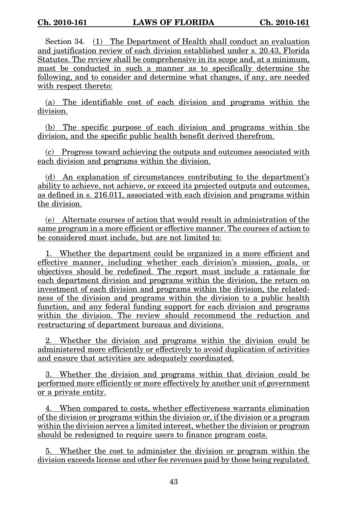Section 34. (1) The Department of Health shall conduct an evaluation and justification review of each division established under s. 20.43, Florida Statutes. The review shall be comprehensive in its scope and, at a minimum, must be conducted in such a manner as to specifically determine the following, and to consider and determine what changes, if any, are needed with respect thereto:

(a) The identifiable cost of each division and programs within the division.

(b) The specific purpose of each division and programs within the division, and the specific public health benefit derived therefrom.

(c) Progress toward achieving the outputs and outcomes associated with each division and programs within the division.

(d) An explanation of circumstances contributing to the department's ability to achieve, not achieve, or exceed its projected outputs and outcomes, as defined in s. 216.011, associated with each division and programs within the division.

(e) Alternate courses of action that would result in administration of the same program in a more efficient or effective manner. The courses of action to be considered must include, but are not limited to:

1. Whether the department could be organized in a more efficient and effective manner, including whether each division's mission, goals, or objectives should be redefined. The report must include a rationale for each department division and programs within the division, the return on investment of each division and programs within the division, the relatedness of the division and programs within the division to a public health function, and any federal funding support for each division and programs within the division. The review should recommend the reduction and restructuring of department bureaus and divisions.

2. Whether the division and programs within the division could be administered more efficiently or effectively to avoid duplication of activities and ensure that activities are adequately coordinated.

3. Whether the division and programs within that division could be performed more efficiently or more effectively by another unit of government or a private entity.

4. When compared to costs, whether effectiveness warrants elimination of the division or programs within the division or, if the division or a program within the division serves a limited interest, whether the division or program should be redesigned to require users to finance program costs.

5. Whether the cost to administer the division or program within the division exceeds license and other fee revenues paid by those being regulated.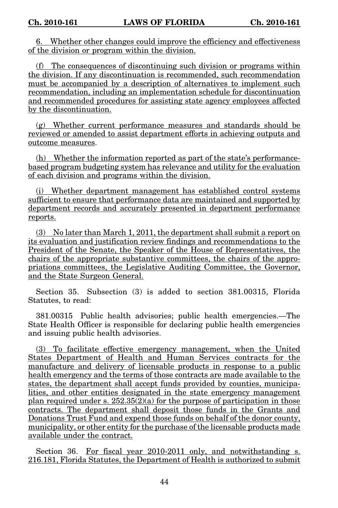6. Whether other changes could improve the efficiency and effectiveness of the division or program within the division.

(f) The consequences of discontinuing such division or programs within the division. If any discontinuation is recommended, such recommendation must be accompanied by a description of alternatives to implement such recommendation, including an implementation schedule for discontinuation and recommended procedures for assisting state agency employees affected by the discontinuation.

(g) Whether current performance measures and standards should be reviewed or amended to assist department efforts in achieving outputs and outcome measures.

(h) Whether the information reported as part of the state's performancebased program budgeting system has relevance and utility for the evaluation of each division and programs within the division.

(i) Whether department management has established control systems sufficient to ensure that performance data are maintained and supported by department records and accurately presented in department performance reports.

(3) No later than March 1, 2011, the department shall submit a report on its evaluation and justification review findings and recommendations to the President of the Senate, the Speaker of the House of Representatives, the chairs of the appropriate substantive committees, the chairs of the appropriations committees, the Legislative Auditing Committee, the Governor, and the State Surgeon General.

Section 35. Subsection (3) is added to section 381.00315, Florida Statutes, to read:

381.00315 Public health advisories; public health emergencies.—The State Health Officer is responsible for declaring public health emergencies and issuing public health advisories.

(3) To facilitate effective emergency management, when the United States Department of Health and Human Services contracts for the manufacture and delivery of licensable products in response to a public health emergency and the terms of those contracts are made available to the states, the department shall accept funds provided by counties, municipalities, and other entities designated in the state emergency management plan required under s.  $252.35(2)(a)$  for the purpose of participation in those contracts. The department shall deposit those funds in the Grants and Donations Trust Fund and expend those funds on behalf of the donor county, municipality, or other entity for the purchase of the licensable products made available under the contract.

Section 36. For fiscal year 2010-2011 only, and notwithstanding s. 216.181, Florida Statutes, the Department of Health is authorized to submit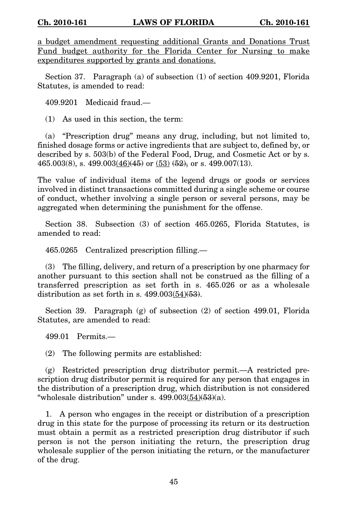a budget amendment requesting additional Grants and Donations Trust Fund budget authority for the Florida Center for Nursing to make expenditures supported by grants and donations.

Section 37. Paragraph (a) of subsection (1) of section 409.9201, Florida Statutes, is amended to read:

409.9201 Medicaid fraud.—

(1) As used in this section, the term:

(a) "Prescription drug" means any drug, including, but not limited to, finished dosage forms or active ingredients that are subject to, defined by, or described by s. 503(b) of the Federal Food, Drug, and Cosmetic Act or by s.  $465.003(8)$ , s.  $499.003(46)(45)$  or  $(53)(52)$ , or s.  $499.007(13)$ .

The value of individual items of the legend drugs or goods or services involved in distinct transactions committed during a single scheme or course of conduct, whether involving a single person or several persons, may be aggregated when determining the punishment for the offense.

Section 38. Subsection (3) of section 465.0265, Florida Statutes, is amended to read:

465.0265 Centralized prescription filling.—

(3) The filling, delivery, and return of a prescription by one pharmacy for another pursuant to this section shall not be construed as the filling of a transferred prescription as set forth in s. 465.026 or as a wholesale distribution as set forth in s.  $499.003(54)\left(\frac{53}{6}\right)$ .

Section 39. Paragraph (g) of subsection (2) of section 499.01, Florida Statutes, are amended to read:

499.01 Permits.—

(2) The following permits are established:

(g) Restricted prescription drug distributor permit.—A restricted prescription drug distributor permit is required for any person that engages in the distribution of a prescription drug, which distribution is not considered "wholesale distribution" under s.  $499.003(54)(53)(a)$ .

1. A person who engages in the receipt or distribution of a prescription drug in this state for the purpose of processing its return or its destruction must obtain a permit as a restricted prescription drug distributor if such person is not the person initiating the return, the prescription drug wholesale supplier of the person initiating the return, or the manufacturer of the drug.

45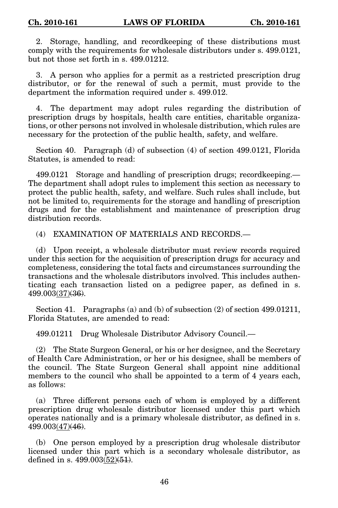2. Storage, handling, and recordkeeping of these distributions must comply with the requirements for wholesale distributors under s. 499.0121, but not those set forth in s. 499.01212.

3. A person who applies for a permit as a restricted prescription drug distributor, or for the renewal of such a permit, must provide to the department the information required under s. 499.012.

4. The department may adopt rules regarding the distribution of prescription drugs by hospitals, health care entities, charitable organizations, or other persons not involved in wholesale distribution, which rules are necessary for the protection of the public health, safety, and welfare.

Section 40. Paragraph (d) of subsection (4) of section 499.0121, Florida Statutes, is amended to read:

499.0121 Storage and handling of prescription drugs; recordkeeping.— The department shall adopt rules to implement this section as necessary to protect the public health, safety, and welfare. Such rules shall include, but not be limited to, requirements for the storage and handling of prescription drugs and for the establishment and maintenance of prescription drug distribution records.

(4) EXAMINATION OF MATERIALS AND RECORDS.—

(d) Upon receipt, a wholesale distributor must review records required under this section for the acquisition of prescription drugs for accuracy and completeness, considering the total facts and circumstances surrounding the transactions and the wholesale distributors involved. This includes authenticating each transaction listed on a pedigree paper, as defined in s. 499.003(37)(36).

Section 41. Paragraphs (a) and (b) of subsection  $(2)$  of section 499.01211, Florida Statutes, are amended to read:

499.01211 Drug Wholesale Distributor Advisory Council.—

(2) The State Surgeon General, or his or her designee, and the Secretary of Health Care Administration, or her or his designee, shall be members of the council. The State Surgeon General shall appoint nine additional members to the council who shall be appointed to a term of 4 years each, as follows:

(a) Three different persons each of whom is employed by a different prescription drug wholesale distributor licensed under this part which operates nationally and is a primary wholesale distributor, as defined in s. 499.003(47)(46).

(b) One person employed by a prescription drug wholesale distributor licensed under this part which is a secondary wholesale distributor, as defined in s.  $499.003(52)(51)$ .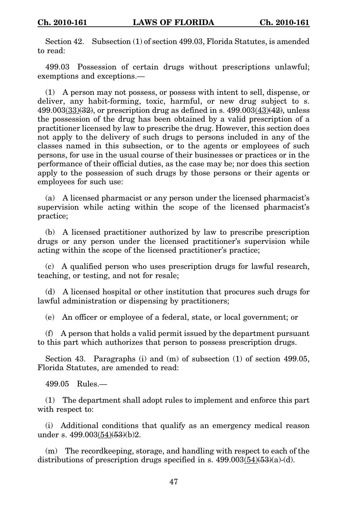Section 42. Subsection (1) of section 499.03, Florida Statutes, is amended to read:

499.03 Possession of certain drugs without prescriptions unlawful; exemptions and exceptions.—

(1) A person may not possess, or possess with intent to sell, dispense, or deliver, any habit-forming, toxic, harmful, or new drug subject to s.  $499.003(33)(32)$ , or prescription drug as defined in s.  $499.003(43)(42)$ , unless the possession of the drug has been obtained by a valid prescription of a practitioner licensed by law to prescribe the drug. However, this section does not apply to the delivery of such drugs to persons included in any of the classes named in this subsection, or to the agents or employees of such persons, for use in the usual course of their businesses or practices or in the performance of their official duties, as the case may be; nor does this section apply to the possession of such drugs by those persons or their agents or employees for such use:

(a) A licensed pharmacist or any person under the licensed pharmacist's supervision while acting within the scope of the licensed pharmacist's practice;

(b) A licensed practitioner authorized by law to prescribe prescription drugs or any person under the licensed practitioner's supervision while acting within the scope of the licensed practitioner's practice;

(c) A qualified person who uses prescription drugs for lawful research, teaching, or testing, and not for resale;

(d) A licensed hospital or other institution that procures such drugs for lawful administration or dispensing by practitioners;

(e) An officer or employee of a federal, state, or local government; or

(f) A person that holds a valid permit issued by the department pursuant to this part which authorizes that person to possess prescription drugs.

Section 43. Paragraphs (i) and (m) of subsection (1) of section 499.05, Florida Statutes, are amended to read:

499.05 Rules.—

(1) The department shall adopt rules to implement and enforce this part with respect to:

(i) Additional conditions that qualify as an emergency medical reason under s.  $499.003(54)(53)(b)2$ .

(m) The recordkeeping, storage, and handling with respect to each of the distributions of prescription drugs specified in s.  $499.003(\underline{54})(53)(a)$ -(d).